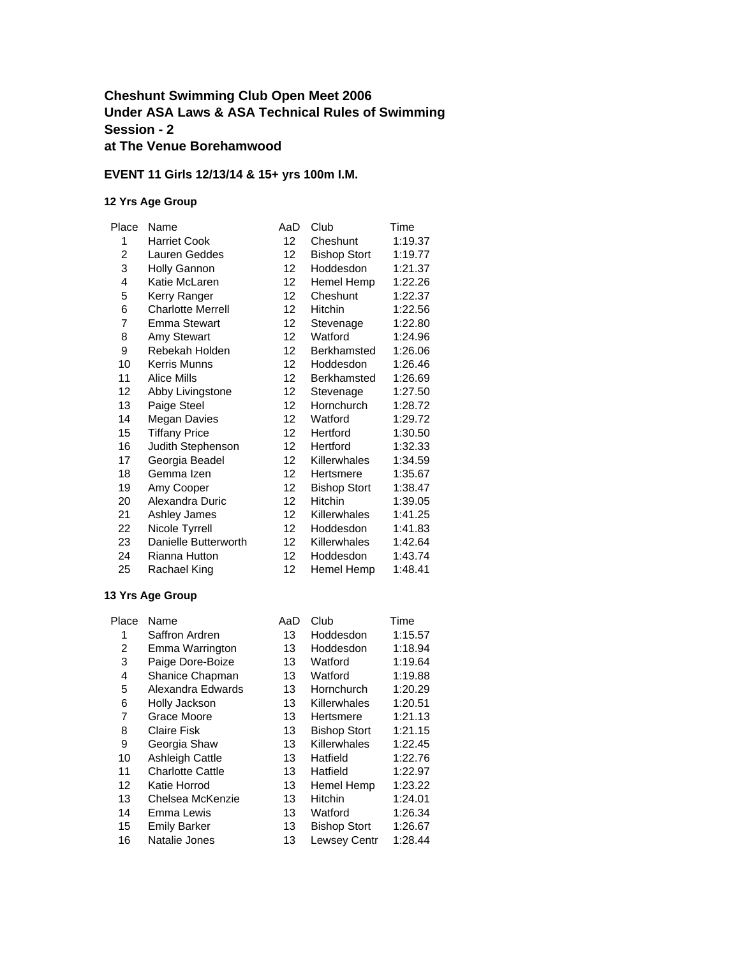### **Cheshunt Swimming Club Open Meet 2006 Under ASA Laws & ASA Technical Rules of Swimming Session - 2 at The Venue Borehamwood**

### **EVENT 11 Girls 12/13/14 & 15+ yrs 100m I.M.**

#### **12 Yrs Age Group**

| Place | Name                     | AaD               | Club                | Time    |
|-------|--------------------------|-------------------|---------------------|---------|
| 1     | <b>Harriet Cook</b>      | 12                | Cheshunt            | 1:19.37 |
| 2     | Lauren Geddes            | 12                | <b>Bishop Stort</b> | 1:19.77 |
| 3     | <b>Holly Gannon</b>      | 12 <sup>2</sup>   | Hoddesdon           | 1:21.37 |
| 4     | Katie McLaren            | 12                | Hemel Hemp          | 1:22.26 |
| 5     | Kerry Ranger             | 12                | Cheshunt            | 1:22.37 |
| 6     | <b>Charlotte Merrell</b> | 12                | Hitchin             | 1:22.56 |
| 7     | Emma Stewart             | 12                | Stevenage           | 1:22.80 |
| 8     | Amy Stewart              | 12 <sup>2</sup>   | Watford             | 1:24.96 |
| 9     | Rebekah Holden           | 12                | Berkhamsted         | 1:26.06 |
| 10    | Kerris Munns             | 12                | Hoddesdon           | 1:26.46 |
| 11    | Alice Mills              | 12                | Berkhamsted         | 1:26.69 |
| 12    | Abby Livingstone         | 12                | Stevenage           | 1:27.50 |
| 13    | Paige Steel              | 12                | Hornchurch          | 1:28.72 |
| 14    | <b>Megan Davies</b>      | 12                | Watford             | 1:29.72 |
| 15    | <b>Tiffany Price</b>     | 12                | Hertford            | 1:30.50 |
| 16    | Judith Stephenson        | 12                | Hertford            | 1:32.33 |
| 17    | Georgia Beadel           | $12 \overline{ }$ | Killerwhales        | 1:34.59 |
| 18    | Gemma Izen               | 12                | Hertsmere           | 1:35.67 |
| 19    | Amy Cooper               | 12                | <b>Bishop Stort</b> | 1:38.47 |
| 20    | Alexandra Duric          | $12 \overline{ }$ | <b>Hitchin</b>      | 1:39.05 |
| 21    | Ashley James             | 12                | <b>Killerwhales</b> | 1:41.25 |
| 22    | Nicole Tyrrell           | 12                | Hoddesdon           | 1:41.83 |
| 23    | Danielle Butterworth     | 12                | Killerwhales        | 1:42.64 |
| 24    | Rianna Hutton            | 12                | Hoddesdon           | 1:43.74 |
| 25    | Rachael King             | 12                | Hemel Hemp          | 1:48.41 |

| Place | Name                    | AaD | Club                | Time    |
|-------|-------------------------|-----|---------------------|---------|
| 1     | Saffron Ardren          | 13  | Hoddesdon           | 1:15.57 |
| 2     | Emma Warrington         | 13  | Hoddesdon           | 1:18.94 |
| 3     | Paige Dore-Boize        | 13  | Watford             | 1:19.64 |
| 4     | Shanice Chapman         | 13  | Watford             | 1:19.88 |
| 5     | Alexandra Edwards       | 13  | Hornchurch          | 1:20.29 |
| 6     | Holly Jackson           | 13  | Killerwhales        | 1:20.51 |
| 7     | Grace Moore             | 13  | Hertsmere           | 1:21.13 |
| 8     | <b>Claire Fisk</b>      | 13  | <b>Bishop Stort</b> | 1:21.15 |
| 9     | Georgia Shaw            | 13  | Killerwhales        | 1:22.45 |
| 10    | <b>Ashleigh Cattle</b>  | 13  | Hatfield            | 1:22.76 |
| 11    | <b>Charlotte Cattle</b> | 13  | Hatfield            | 1:22.97 |
| 12    | Katie Horrod            | 13  | Hemel Hemp          | 1:23.22 |
| 13    | Chelsea McKenzie        | 13  | <b>Hitchin</b>      | 1:24.01 |
| 14    | Emma Lewis              | 13  | Watford             | 1:26.34 |
| 15    | <b>Emily Barker</b>     | 13  | <b>Bishop Stort</b> | 1:26.67 |
| 16    | Natalie Jones           | 13  | Lewsey Centr        | 1:28.44 |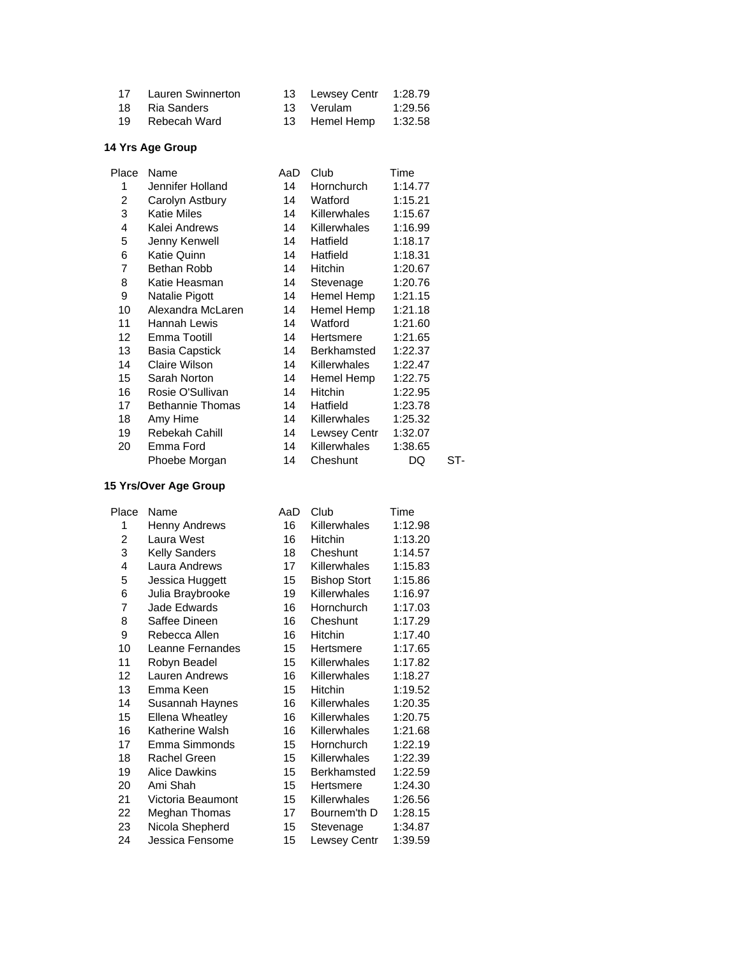| 17 Lauren Swinnerton | 13 Lewsey Centr 1:28.79 |         |
|----------------------|-------------------------|---------|
| 18 Ria Sanders       | 13 Verulam              | 1:29.56 |
| 19 Rebecah Ward      | 13 Hemel Hemp 1:32.58   |         |

| Place | Name                    | AaD | Club                | Time    |     |
|-------|-------------------------|-----|---------------------|---------|-----|
| 1     | Jennifer Holland        | 14  | Hornchurch          | 1:14.77 |     |
| 2     | Carolyn Astbury         | 14  | Watford             | 1:15.21 |     |
| 3     | Katie Miles             | 14  | Killerwhales        | 1:15.67 |     |
| 4     | Kalei Andrews           | 14  | Killerwhales        | 1:16.99 |     |
| 5     | Jenny Kenwell           | 14  | Hatfield            | 1:18.17 |     |
| 6     | Katie Quinn             | 14  | Hatfield            | 1:18.31 |     |
| 7     | Bethan Robb             | 14  | Hitchin             | 1:20.67 |     |
| 8     | Katie Heasman           | 14  | Stevenage           | 1:20.76 |     |
| 9     | Natalie Pigott          | 14  | Hemel Hemp          | 1:21.15 |     |
| 10    | Alexandra McLaren       | 14  | Hemel Hemp          | 1:21.18 |     |
| 11    | Hannah Lewis            | 14  | Watford             | 1:21.60 |     |
| 12    | Emma Tootill            | 14  | Hertsmere           | 1:21.65 |     |
| 13    | Basia Capstick          | 14  | Berkhamsted         | 1:22.37 |     |
| 14    | Claire Wilson           | 14  | Killerwhales        | 1:22.47 |     |
| 15    | Sarah Norton            | 14  | Hemel Hemp          | 1:22.75 |     |
| 16    | Rosie O'Sullivan        | 14  | <b>Hitchin</b>      | 1:22.95 |     |
| 17    | <b>Bethannie Thomas</b> | 14  | Hatfield            | 1:23.78 |     |
| 18    | Amy Hime                | 14  | <b>Killerwhales</b> | 1:25.32 |     |
| 19    | Rebekah Cahill          | 14  | Lewsey Centr        | 1:32.07 |     |
| 20    | Emma Ford               | 14  | Killerwhales        | 1:38.65 |     |
|       | Phoebe Morgan           | 14  | Cheshunt            | DQ      | ST- |

#### **15 Yrs/Over Age Group**

| Place | Name                   | AaD | Club                | Time    |
|-------|------------------------|-----|---------------------|---------|
| 1     | Henny Andrews          | 16  | Killerwhales        | 1:12.98 |
| 2     | Laura West             | 16  | Hitchin             | 1:13.20 |
| 3     | <b>Kelly Sanders</b>   | 18  | Cheshunt            | 1:14.57 |
| 4     | Laura Andrews          | 17  | Killerwhales        | 1:15.83 |
| 5     | Jessica Huggett        | 15  | <b>Bishop Stort</b> | 1:15.86 |
| 6     | Julia Braybrooke       | 19  | Killerwhales        | 1:16.97 |
| 7     | Jade Edwards           | 16  | Hornchurch          | 1:17.03 |
| 8     | Saffee Dineen          | 16  | Cheshunt            | 1:17.29 |
| 9     | Rebecca Allen          | 16  | Hitchin             | 1:17.40 |
| 10    | Leanne Fernandes       | 15  | Hertsmere           | 1:17.65 |
| 11    | Robyn Beadel           | 15  | Killerwhales        | 1:17.82 |
| 12    | Lauren Andrews         | 16  | Killerwhales        | 1:18.27 |
| 13    | Emma Keen              | 15  | Hitchin             | 1:19.52 |
| 14    | Susannah Haynes        | 16  | <b>Killerwhales</b> | 1:20.35 |
| 15    | <b>Ellena Wheatley</b> | 16  | Killerwhales        | 1:20.75 |
| 16    | Katherine Walsh        | 16  | Killerwhales        | 1:21.68 |
| 17    | Emma Simmonds          | 15  | Hornchurch          | 1:22.19 |
| 18    | Rachel Green           | 15  | Killerwhales        | 1:22.39 |
| 19    | <b>Alice Dawkins</b>   | 15  | Berkhamsted         | 1:22.59 |
| 20    | Ami Shah               | 15  | Hertsmere           | 1:24.30 |
| 21    | Victoria Beaumont      | 15  | Killerwhales        | 1:26.56 |
| 22    | Meghan Thomas          | 17  | Bournem'th D        | 1:28.15 |
| 23    | Nicola Shepherd        | 15  | Stevenage           | 1:34.87 |
| 24    | Jessica Fensome        | 15  | Lewsey Centr        | 1:39.59 |
|       |                        |     |                     |         |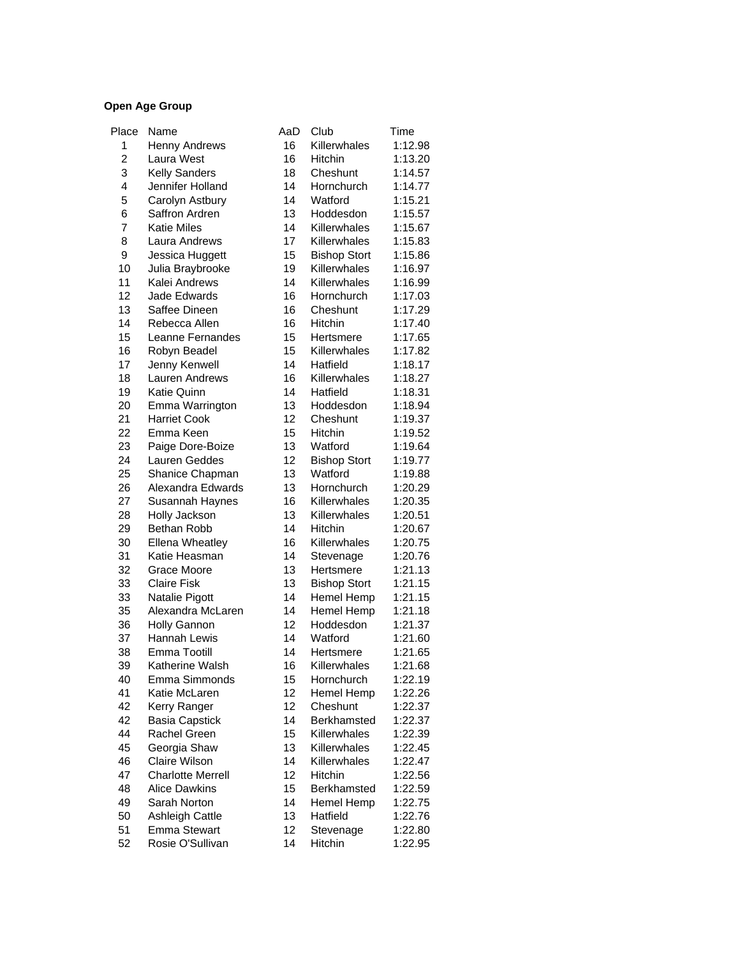| Place          | Name                                | AaD             | Club                | Time               |
|----------------|-------------------------------------|-----------------|---------------------|--------------------|
| 1              | <b>Henny Andrews</b>                | 16              | Killerwhales        | 1:12.98            |
| $\overline{c}$ | Laura West                          | 16              | Hitchin             | 1:13.20            |
| 3              | <b>Kelly Sanders</b>                | 18              | Cheshunt            | 1:14.57            |
| 4              | Jennifer Holland                    | 14              | Hornchurch          | 1:14.77            |
| 5              | Carolyn Astbury                     | 14              | Watford             | 1:15.21            |
| 6              | Saffron Ardren                      | 13              | Hoddesdon           | 1:15.57            |
| 7              | <b>Katie Miles</b>                  | 14              | Killerwhales        | 1:15.67            |
| 8              | Laura Andrews                       | 17              | Killerwhales        | 1:15.83            |
| 9              | Jessica Huggett                     | 15              | <b>Bishop Stort</b> | 1:15.86            |
| 10             | Julia Braybrooke                    | 19              | Killerwhales        | 1:16.97            |
| 11             | Kalei Andrews                       | 14              | Killerwhales        | 1:16.99            |
| 12             | Jade Edwards                        | 16              | Hornchurch          | 1:17.03            |
| 13             | Saffee Dineen                       | 16              | Cheshunt            | 1:17.29            |
| 14             | Rebecca Allen                       | 16              | Hitchin             | 1:17.40            |
| 15             | Leanne Fernandes                    | 15              | Hertsmere           | 1:17.65            |
| 16             | Robyn Beadel                        | 15              | Killerwhales        | 1:17.82            |
| 17             | Jenny Kenwell                       | 14              | Hatfield            | 1:18.17            |
| 18             | Lauren Andrews                      | 16              | Killerwhales        | 1:18.27            |
| 19             | Katie Quinn                         | 14              | Hatfield            | 1:18.31            |
| 20             | Emma Warrington                     | 13              | Hoddesdon           | 1:18.94            |
| 21             | <b>Harriet Cook</b>                 | 12              | Cheshunt            | 1:19.37            |
| 22             | Emma Keen                           | 15              | Hitchin             | 1:19.52            |
| 23             | Paige Dore-Boize                    | 13              | Watford             | 1:19.64            |
| 24             | Lauren Geddes                       | 12              | <b>Bishop Stort</b> | 1:19.77            |
| 25             | Shanice Chapman                     | 13              | Watford             | 1:19.88            |
| 26             | Alexandra Edwards                   | 13              | Hornchurch          | 1:20.29            |
| 27             | Susannah Haynes                     | 16              | Killerwhales        | 1:20.35            |
| 28             | Holly Jackson                       | 13              | Killerwhales        | 1:20.51            |
| 29             | Bethan Robb                         | 14              | Hitchin             | 1:20.67            |
| 30             | Ellena Wheatley                     | 16              | Killerwhales        | 1:20.75            |
| 31             | Katie Heasman                       | 14              | Stevenage           | 1:20.76            |
| 32             | Grace Moore                         | 13              | Hertsmere           | 1:21.13            |
| 33             | <b>Claire Fisk</b>                  | 13              |                     | 1:21.15            |
|                |                                     | 14              | <b>Bishop Stort</b> |                    |
| 33             | Natalie Pigott                      |                 | Hemel Hemp          | 1:21.15<br>1:21.18 |
| 35             | Alexandra McLaren                   | 14              | Hemel Hemp          |                    |
| 36             | Holly Gannon<br><b>Hannah Lewis</b> | 12<br>14        | Hoddesdon           | 1:21.37            |
| 37             |                                     |                 | Watford             | 1:21.60            |
| 38             | Emma Tootill                        | 14              | Hertsmere           | 1:21.65            |
| 39             | Katherine Walsh                     | 16              | Killerwhales        | 1:21.68            |
| 40             | Emma Simmonds                       | 15              | Hornchurch          | 1:22.19            |
| 41             | Katie McLaren                       | 12              | Hemel Hemp          | 1:22.26            |
| 42             | Kerry Ranger                        | 12 <sub>2</sub> | Cheshunt            | 1:22.37            |
| 42             | <b>Basia Capstick</b>               | 14              | <b>Berkhamsted</b>  | 1:22.37            |
| 44             | Rachel Green                        | 15              | Killerwhales        | 1:22.39            |
| 45             | Georgia Shaw                        | 13              | Killerwhales        | 1:22.45            |
| 46             | Claire Wilson                       | 14              | Killerwhales        | 1:22.47            |
| 47             | <b>Charlotte Merrell</b>            | 12              | Hitchin             | 1:22.56            |
| 48             | <b>Alice Dawkins</b>                | 15              | Berkhamsted         | 1:22.59            |
| 49             | Sarah Norton                        | 14              | Hemel Hemp          | 1:22.75            |
| 50             | Ashleigh Cattle                     | 13              | Hatfield            | 1:22.76            |
| 51             | <b>Emma Stewart</b>                 | 12              | Stevenage           | 1:22.80            |
| 52             | Rosie O'Sullivan                    | 14              | Hitchin             | 1:22.95            |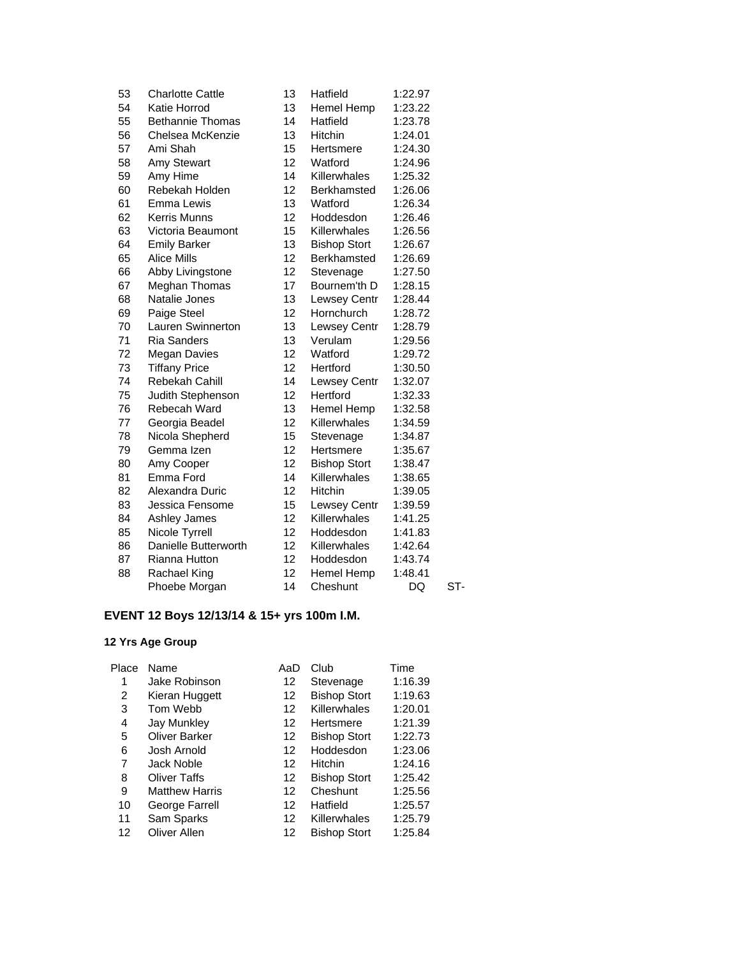| 53 | <b>Charlotte Cattle</b> | 13 | Hatfield            | 1:22.97 |     |
|----|-------------------------|----|---------------------|---------|-----|
| 54 | Katie Horrod            | 13 | Hemel Hemp          | 1:23.22 |     |
| 55 | <b>Bethannie Thomas</b> | 14 | Hatfield            | 1:23.78 |     |
| 56 | Chelsea McKenzie        | 13 | <b>Hitchin</b>      | 1:24.01 |     |
| 57 | Ami Shah                | 15 | Hertsmere           | 1:24.30 |     |
| 58 | Amy Stewart             | 12 | Watford             | 1:24.96 |     |
| 59 | Amy Hime                | 14 | Killerwhales        | 1:25.32 |     |
| 60 | Rebekah Holden          | 12 | Berkhamsted         | 1:26.06 |     |
| 61 | Emma Lewis              | 13 | Watford             | 1:26.34 |     |
| 62 | <b>Kerris Munns</b>     | 12 | Hoddesdon           | 1:26.46 |     |
| 63 | Victoria Beaumont       | 15 | Killerwhales        | 1:26.56 |     |
| 64 | <b>Emily Barker</b>     | 13 | <b>Bishop Stort</b> | 1:26.67 |     |
| 65 | <b>Alice Mills</b>      | 12 | <b>Berkhamsted</b>  | 1:26.69 |     |
| 66 | Abby Livingstone        | 12 | Stevenage           | 1:27.50 |     |
| 67 | Meghan Thomas           | 17 | Bournem'th D        | 1:28.15 |     |
| 68 | Natalie Jones           | 13 | Lewsey Centr        | 1:28.44 |     |
| 69 | Paige Steel             | 12 | Hornchurch          | 1:28.72 |     |
| 70 | Lauren Swinnerton       | 13 | <b>Lewsey Centr</b> | 1:28.79 |     |
| 71 | <b>Ria Sanders</b>      | 13 | Verulam             | 1:29.56 |     |
| 72 | Megan Davies            | 12 | Watford             | 1:29.72 |     |
| 73 | <b>Tiffany Price</b>    | 12 | Hertford            | 1:30.50 |     |
| 74 | Rebekah Cahill          | 14 | <b>Lewsey Centr</b> | 1:32.07 |     |
| 75 | Judith Stephenson       | 12 | Hertford            | 1:32.33 |     |
| 76 | Rebecah Ward            | 13 | Hemel Hemp          | 1:32.58 |     |
| 77 | Georgia Beadel          | 12 | Killerwhales        | 1:34.59 |     |
| 78 | Nicola Shepherd         | 15 | Stevenage           | 1:34.87 |     |
| 79 | Gemma Izen              | 12 | Hertsmere           | 1:35.67 |     |
| 80 | Amy Cooper              | 12 | <b>Bishop Stort</b> | 1:38.47 |     |
| 81 | Emma Ford               | 14 | Killerwhales        | 1:38.65 |     |
| 82 | Alexandra Duric         | 12 | Hitchin             | 1:39.05 |     |
| 83 | Jessica Fensome         | 15 | <b>Lewsey Centr</b> | 1:39.59 |     |
| 84 | Ashley James            | 12 | Killerwhales        | 1:41.25 |     |
| 85 | Nicole Tyrrell          | 12 | Hoddesdon           | 1:41.83 |     |
| 86 | Danielle Butterworth    | 12 | Killerwhales        | 1:42.64 |     |
| 87 | Rianna Hutton           | 12 | Hoddesdon           | 1:43.74 |     |
| 88 | Rachael King            | 12 | Hemel Hemp          | 1:48.41 |     |
|    | Phoebe Morgan           | 14 | Cheshunt            | DQ      | ST- |
|    |                         |    |                     |         |     |

# **EVENT 12 Boys 12/13/14 & 15+ yrs 100m I.M.**

| Place | Name                  | AaD | Club                | Time    |
|-------|-----------------------|-----|---------------------|---------|
| 1     | Jake Robinson         | 12  | Stevenage           | 1:16.39 |
| 2     | Kieran Huggett        | 12  | <b>Bishop Stort</b> | 1:19.63 |
| 3     | Tom Webb              | 12  | Killerwhales        | 1:20.01 |
| 4     | Jay Munkley           | 12  | Hertsmere           | 1:21.39 |
| 5     | <b>Oliver Barker</b>  | 12  | <b>Bishop Stort</b> | 1:22.73 |
| 6     | Josh Arnold           | 12  | Hoddesdon           | 1:23.06 |
| 7     | Jack Noble            | 12  | Hitchin             | 1:24.16 |
| 8     | <b>Oliver Taffs</b>   | 12  | <b>Bishop Stort</b> | 1:25.42 |
| 9     | <b>Matthew Harris</b> | 12  | Cheshunt            | 1:25.56 |
| 10    | George Farrell        | 12  | Hatfield            | 1:25.57 |
| 11    | Sam Sparks            | 12  | Killerwhales        | 1:25.79 |
| 12    | Oliver Allen          | 12  | <b>Bishop Stort</b> | 1:25.84 |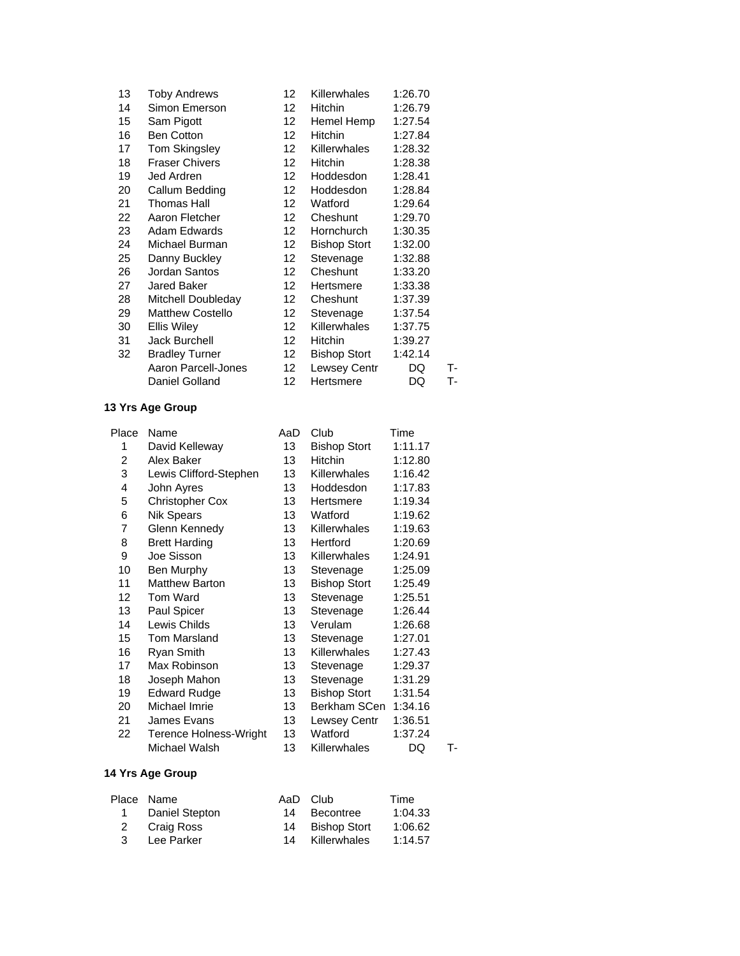| 13 | <b>Toby Andrews</b>     | 12               | Killerwhales        | 1:26.70 |    |
|----|-------------------------|------------------|---------------------|---------|----|
| 14 | Simon Emerson           | 12 <sup>2</sup>  | <b>Hitchin</b>      | 1:26.79 |    |
| 15 | Sam Pigott              | 12 <sup>2</sup>  | Hemel Hemp          | 1:27.54 |    |
| 16 | <b>Ben Cotton</b>       | 12 <sup>12</sup> | <b>Hitchin</b>      | 1:27.84 |    |
| 17 | Tom Skingsley           | 12 <sup>12</sup> | <b>Killerwhales</b> | 1:28.32 |    |
| 18 | <b>Fraser Chivers</b>   | 12 <sup>2</sup>  | Hitchin             | 1:28.38 |    |
| 19 | Jed Ardren              | 12 <sup>12</sup> | Hoddesdon           | 1:28.41 |    |
| 20 | Callum Bedding          | 12 <sup>12</sup> | Hoddesdon           | 1:28.84 |    |
| 21 | Thomas Hall             | 12.              | Watford             | 1:29.64 |    |
| 22 | Aaron Fletcher          | 12               | Cheshunt            | 1:29.70 |    |
| 23 | Adam Edwards            | 12 <sup>12</sup> | Hornchurch          | 1:30.35 |    |
| 24 | Michael Burman          | 12 <sup>12</sup> | <b>Bishop Stort</b> | 1:32.00 |    |
| 25 | Danny Buckley           | 12               | Stevenage           | 1:32.88 |    |
| 26 | Jordan Santos           | 12 <sup>2</sup>  | Cheshunt            | 1:33.20 |    |
| 27 | Jared Baker             | 12               | Hertsmere           | 1:33.38 |    |
| 28 | Mitchell Doubleday      | 12 <sup>12</sup> | Cheshunt            | 1:37.39 |    |
| 29 | <b>Matthew Costello</b> | 12               | Stevenage           | 1:37.54 |    |
| 30 | Ellis Wiley             | 12 <sup>2</sup>  | Killerwhales        | 1:37.75 |    |
| 31 | Jack Burchell           | 12               | Hitchin             | 1:39.27 |    |
| 32 | <b>Bradley Turner</b>   | 12 <sup>12</sup> | <b>Bishop Stort</b> | 1:42.14 |    |
|    | Aaron Parcell-Jones     | 12               | Lewsey Centr        | DQ      | т- |
|    | Daniel Golland          | 12               | Hertsmere           | DQ      | т- |

| Place | Name                          | AaD | Club                | Time    |    |
|-------|-------------------------------|-----|---------------------|---------|----|
| 1     | David Kelleway                | 13  | <b>Bishop Stort</b> | 1:11.17 |    |
| 2     | Alex Baker                    | 13  | <b>Hitchin</b>      | 1:12.80 |    |
| 3     | Lewis Clifford-Stephen        | 13  | Killerwhales        | 1:16.42 |    |
| 4     | John Ayres                    | 13  | Hoddesdon           | 1:17.83 |    |
| 5     | <b>Christopher Cox</b>        | 13  | Hertsmere           | 1:19.34 |    |
| 6     | <b>Nik Spears</b>             | 13  | Watford             | 1:19.62 |    |
| 7     | Glenn Kennedy                 | 13  | <b>Killerwhales</b> | 1:19.63 |    |
| 8     | <b>Brett Harding</b>          | 13  | Hertford            | 1:20.69 |    |
| 9     | Joe Sisson                    | 13  | Killerwhales        | 1:24.91 |    |
| 10    | Ben Murphy                    | 13  | Stevenage           | 1:25.09 |    |
| 11    | <b>Matthew Barton</b>         | 13  | <b>Bishop Stort</b> | 1:25.49 |    |
| 12    | Tom Ward                      | 13  | Stevenage           | 1:25.51 |    |
| 13    | Paul Spicer                   | 13  | Stevenage           | 1:26.44 |    |
| 14    | Lewis Childs                  | 13  | Verulam             | 1:26.68 |    |
| 15    | <b>Tom Marsland</b>           | 13  | Stevenage           | 1:27.01 |    |
| 16    | Ryan Smith                    | 13  | <b>Killerwhales</b> | 1:27.43 |    |
| 17    | Max Robinson                  | 13  | Stevenage           | 1:29.37 |    |
| 18    | Joseph Mahon                  | 13  | Stevenage           | 1:31.29 |    |
| 19    | <b>Edward Rudge</b>           | 13  | <b>Bishop Stort</b> | 1:31.54 |    |
| 20    | Michael Imrie                 | 13  | Berkham SCen        | 1:34.16 |    |
| 21    | James Evans                   | 13  | Lewsey Centr        | 1:36.51 |    |
| 22    | <b>Terence Holness-Wright</b> | 13  | Watford             | 1:37.24 |    |
|       | Michael Walsh                 | 13  | Killerwhales        | DQ      | т- |
|       |                               |     |                     |         |    |

|   | Place Name       | AaD Club        | Time    |
|---|------------------|-----------------|---------|
|   | 1 Daniel Stepton | 14 Becontree    | 1:04.33 |
|   | 2 Craig Ross     | 14 Bishop Stort | 1:06.62 |
| 3 | Lee Parker       | 14 Killerwhales | 1:14.57 |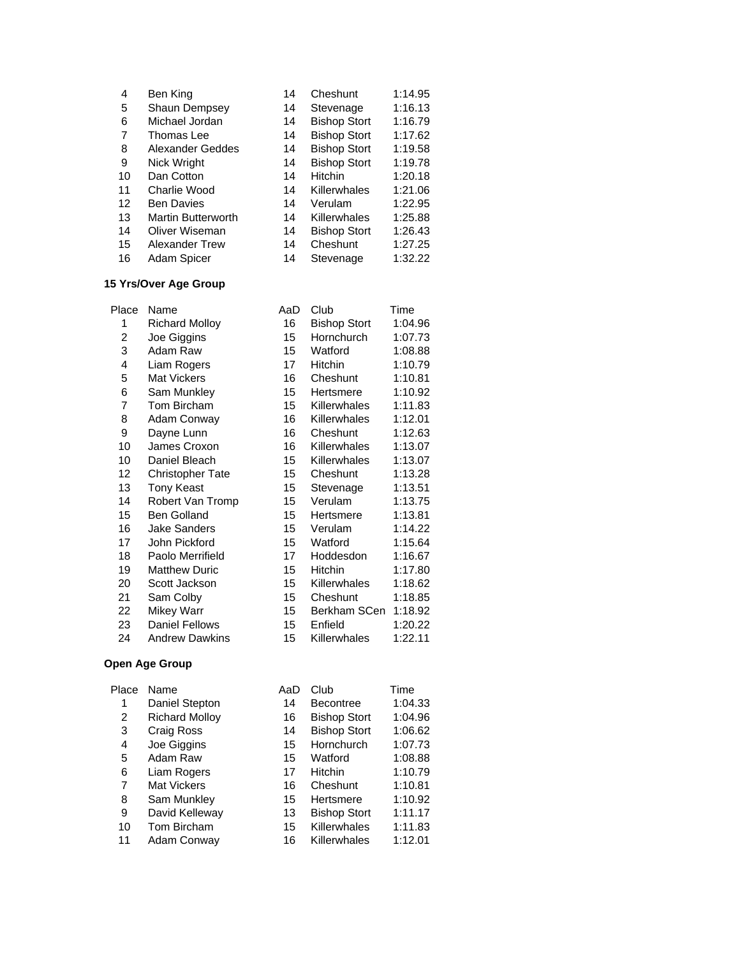| 4  | Ben King                  | 14 | Cheshunt            | 1:14.95 |
|----|---------------------------|----|---------------------|---------|
| 5  | Shaun Dempsey             | 14 | Stevenage           | 1:16.13 |
| 6  | Michael Jordan            | 14 | <b>Bishop Stort</b> | 1:16.79 |
| 7  | Thomas Lee                | 14 | <b>Bishop Stort</b> | 1:17.62 |
| 8  | Alexander Geddes          | 14 | <b>Bishop Stort</b> | 1:19.58 |
| 9  | Nick Wright               | 14 | <b>Bishop Stort</b> | 1:19.78 |
| 10 | Dan Cotton                | 14 | <b>Hitchin</b>      | 1:20.18 |
| 11 | Charlie Wood              | 14 | Killerwhales        | 1:21.06 |
| 12 | <b>Ben Davies</b>         | 14 | Verulam             | 1:22.95 |
| 13 | <b>Martin Butterworth</b> | 14 | Killerwhales        | 1:25.88 |
| 14 | Oliver Wiseman            | 14 | <b>Bishop Stort</b> | 1:26.43 |
| 15 | <b>Alexander Trew</b>     | 14 | Cheshunt            | 1:27.25 |
| 16 | Adam Spicer               | 14 | Stevenage           | 1:32.22 |

### **15 Yrs/Over Age Group**

| Place | Name                    | AaD             | Club                | Time    |
|-------|-------------------------|-----------------|---------------------|---------|
| 1     | <b>Richard Molloy</b>   | 16              | <b>Bishop Stort</b> | 1:04.96 |
| 2     | Joe Giggins             | 15              | Hornchurch          | 1:07.73 |
| 3     | Adam Raw                | 15              | Watford             | 1:08.88 |
| 4     | Liam Rogers             | 17              | Hitchin             | 1:10.79 |
| 5     | <b>Mat Vickers</b>      | 16              | Cheshunt            | 1:10.81 |
| 6     | Sam Munkley             | 15              | Hertsmere           | 1:10.92 |
| 7     | Tom Bircham             | 15              | Killerwhales        | 1:11.83 |
| 8     | Adam Conway             | 16              | Killerwhales        | 1:12.01 |
| 9     | Dayne Lunn              | 16              | Cheshunt            | 1:12.63 |
| 10    | James Croxon            | 16              | Killerwhales        | 1:13.07 |
| 10    | Daniel Bleach           | 15              | Killerwhales        | 1:13.07 |
| 12    | <b>Christopher Tate</b> | 15              | Cheshunt            | 1:13.28 |
| 13    | <b>Tony Keast</b>       | 15              | Stevenage           | 1:13.51 |
| 14    | Robert Van Tromp        | 15 <sup>1</sup> | Verulam             | 1:13.75 |
| 15    | <b>Ben Golland</b>      | 15              | Hertsmere           | 1:13.81 |
| 16    | <b>Jake Sanders</b>     | 15              | Verulam             | 1:14.22 |
| 17    | John Pickford           | 15              | Watford             | 1:15.64 |
| 18    | Paolo Merrifield        | 17              | Hoddesdon           | 1:16.67 |
| 19    | <b>Matthew Duric</b>    | 15              | <b>Hitchin</b>      | 1:17.80 |
| 20    | Scott Jackson           | 15              | Killerwhales        | 1:18.62 |
| 21    | Sam Colby               | 15              | Cheshunt            | 1:18.85 |
| 22    | <b>Mikey Warr</b>       | 15              | Berkham SCen        | 1:18.92 |
| 23    | <b>Daniel Fellows</b>   | 15              | Enfield             | 1:20.22 |
| 24    | <b>Andrew Dawkins</b>   | 15              | Killerwhales        | 1:22.11 |

| Place | Name                  | AaD | Club                | Time    |
|-------|-----------------------|-----|---------------------|---------|
| 1     | Daniel Stepton        | 14  | <b>Becontree</b>    | 1:04.33 |
| 2     | <b>Richard Mollov</b> | 16  | <b>Bishop Stort</b> | 1:04.96 |
| 3     | Craig Ross            | 14  | <b>Bishop Stort</b> | 1:06.62 |
| 4     | Joe Giggins           | 15  | Hornchurch          | 1:07.73 |
| 5     | Adam Raw              | 15  | Watford             | 1:08.88 |
| 6     | Liam Rogers           | 17  | <b>Hitchin</b>      | 1:10.79 |
| 7     | <b>Mat Vickers</b>    | 16  | Cheshunt            | 1:10.81 |
| 8     | Sam Munkley           | 15  | Hertsmere           | 1:10.92 |
| 9     | David Kelleway        | 13  | <b>Bishop Stort</b> | 1:11.17 |
| 10    | Tom Bircham           | 15  | Killerwhales        | 1:11.83 |
| 11    | Adam Conway           | 16  | Killerwhales        | 1:12.01 |
|       |                       |     |                     |         |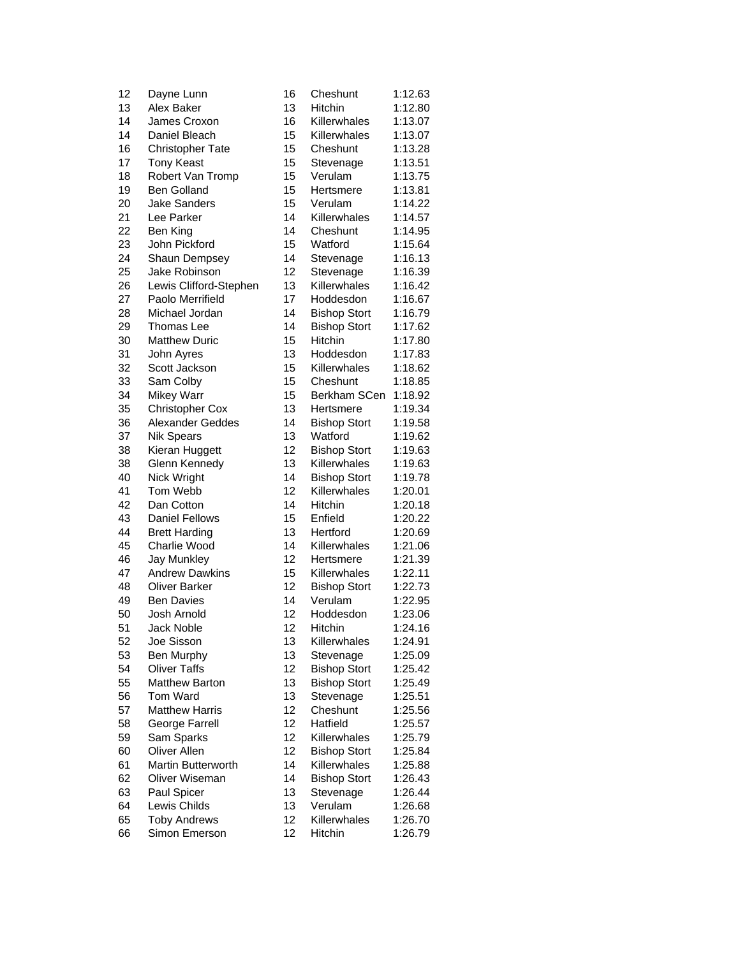| 12       | Dayne Lunn                  | 16       | Cheshunt             | 1:12.63 |
|----------|-----------------------------|----------|----------------------|---------|
| 13       | Alex Baker                  | 13       | Hitchin              | 1:12.80 |
| 14       | James Croxon                | 16       | Killerwhales         | 1:13.07 |
| 14       | Daniel Bleach               | 15       | Killerwhales         | 1:13.07 |
| 16       | <b>Christopher Tate</b>     | 15       | Cheshunt             | 1:13.28 |
| 17       | <b>Tony Keast</b>           | 15       | Stevenage            | 1:13.51 |
| 18       | Robert Van Tromp            | 15       | Verulam              | 1:13.75 |
| 19       | <b>Ben Golland</b>          | 15       | Hertsmere            | 1:13.81 |
| 20       | Jake Sanders                | 15       | Verulam              | 1:14.22 |
| 21       | Lee Parker                  | 14       | Killerwhales         | 1:14.57 |
| 22       | Ben King                    | 14       | Cheshunt             | 1:14.95 |
| 23       | John Pickford               | 15       | Watford              | 1:15.64 |
| 24       | <b>Shaun Dempsey</b>        | 14       | Stevenage            | 1:16.13 |
| 25       | Jake Robinson               | 12       | Stevenage            | 1:16.39 |
| 26       | Lewis Clifford-Stephen      | 13       | Killerwhales         | 1:16.42 |
| 27       | Paolo Merrifield            | 17       | Hoddesdon            | 1:16.67 |
| 28       | Michael Jordan              | 14       | <b>Bishop Stort</b>  | 1:16.79 |
| 29       | Thomas Lee                  | 14       | <b>Bishop Stort</b>  | 1:17.62 |
| 30       | <b>Matthew Duric</b>        | 15       | Hitchin              | 1:17.80 |
| 31       | John Ayres                  | 13       | Hoddesdon            | 1:17.83 |
| 32       | Scott Jackson               | 15       | Killerwhales         | 1:18.62 |
| 33       | Sam Colby                   | 15       | Cheshunt             | 1:18.85 |
| 34       | Mikey Warr                  | 15       | Berkham SCen         | 1:18.92 |
| 35       | <b>Christopher Cox</b>      | 13       | Hertsmere            | 1:19.34 |
| 36       | <b>Alexander Geddes</b>     | 14       | <b>Bishop Stort</b>  | 1:19.58 |
| 37       | <b>Nik Spears</b>           | 13       | Watford              | 1:19.62 |
| 38       | Kieran Huggett              | 12       | <b>Bishop Stort</b>  | 1:19.63 |
| 38       | Glenn Kennedy               | 13       | Killerwhales         | 1:19.63 |
| 40       | Nick Wright                 | 14       | <b>Bishop Stort</b>  | 1:19.78 |
| 41       | Tom Webb                    | 12       | Killerwhales         | 1:20.01 |
| 42       | Dan Cotton                  | 14       | Hitchin              | 1:20.18 |
| 43       | <b>Daniel Fellows</b>       | 15       | Enfield              | 1:20.22 |
| 44       | <b>Brett Harding</b>        | 13       | Hertford             | 1:20.69 |
| 45       | Charlie Wood                | 14       | Killerwhales         | 1:21.06 |
| 46       | <b>Jay Munkley</b>          | 12       | Hertsmere            | 1:21.39 |
| 47       | <b>Andrew Dawkins</b>       | 15       | Killerwhales         | 1:22.11 |
| 48       | <b>Oliver Barker</b>        | 12       | <b>Bishop Stort</b>  | 1:22.73 |
| 49       | <b>Ben Davies</b>           | 14       | Verulam              | 1:22.95 |
| 50       | Josh Arnold                 | 12       | Hoddesdon            | 1:23.06 |
| 51       | <b>Jack Noble</b>           | 12       | Hitchin              | 1:24.16 |
| 52       | Joe Sisson                  | 13       | Killerwhales         | 1:24.91 |
| 53       | Ben Murphy                  | 13       | Stevenage            | 1:25.09 |
| 54       | <b>Oliver Taffs</b>         | 12       | <b>Bishop Stort</b>  | 1:25.42 |
| 55       | <b>Matthew Barton</b>       | 13       | <b>Bishop Stort</b>  | 1:25.49 |
| 56       | Tom Ward                    | 13       | Stevenage            | 1:25.51 |
| 57       | <b>Matthew Harris</b>       | 12       | Cheshunt             | 1:25.56 |
| 58       | <b>George Farrell</b>       | 12       | Hatfield             | 1:25.57 |
| 59       | Sam Sparks                  | 12       | Killerwhales         | 1:25.79 |
| 60       | Oliver Allen                | 12       | <b>Bishop Stort</b>  | 1:25.84 |
|          | <b>Martin Butterworth</b>   | 14       | Killerwhales         |         |
| 61       | Oliver Wiseman              | 14       |                      | 1:25.88 |
| 62       |                             |          | <b>Bishop Stort</b>  | 1:26.43 |
| 63<br>64 | Paul Spicer<br>Lewis Childs | 13<br>13 | Stevenage<br>Verulam | 1:26.44 |
|          |                             | 12       | Killerwhales         | 1:26.68 |
| 65       | <b>Toby Andrews</b>         |          |                      | 1:26.70 |
| 66       | Simon Emerson               | 12       | Hitchin              | 1:26.79 |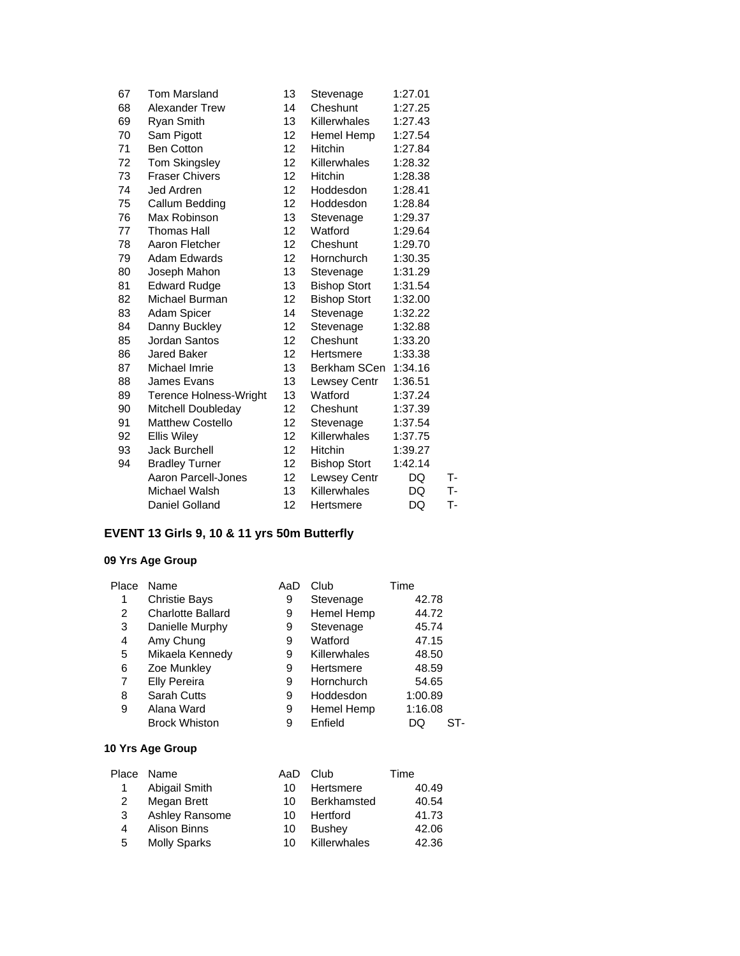| 67 | <b>Tom Marsland</b>           | 13              | Stevenage           | 1:27.01 |    |
|----|-------------------------------|-----------------|---------------------|---------|----|
| 68 | Alexander Trew                | 14              | Cheshunt            | 1:27.25 |    |
| 69 | <b>Ryan Smith</b>             | 13              | Killerwhales        | 1:27.43 |    |
| 70 | Sam Pigott                    | 12              | Hemel Hemp          | 1:27.54 |    |
| 71 | <b>Ben Cotton</b>             | 12              | Hitchin             | 1:27.84 |    |
| 72 | <b>Tom Skingsley</b>          | 12              | Killerwhales        | 1:28.32 |    |
| 73 | <b>Fraser Chivers</b>         | 12 <sup>2</sup> | <b>Hitchin</b>      | 1:28.38 |    |
| 74 | Jed Ardren                    | 12              | Hoddesdon           | 1:28.41 |    |
| 75 | Callum Bedding                | 12              | Hoddesdon           | 1:28.84 |    |
| 76 | Max Robinson                  | 13              | Stevenage           | 1:29.37 |    |
| 77 | Thomas Hall                   | 12              | Watford             | 1:29.64 |    |
| 78 | Aaron Fletcher                | 12 <sup>2</sup> | Cheshunt            | 1:29.70 |    |
| 79 | <b>Adam Edwards</b>           | 12              | Hornchurch          | 1:30.35 |    |
| 80 | Joseph Mahon                  | 13              | Stevenage           | 1:31.29 |    |
| 81 | <b>Edward Rudge</b>           | 13              | <b>Bishop Stort</b> | 1:31.54 |    |
| 82 | Michael Burman                | 12              | <b>Bishop Stort</b> | 1:32.00 |    |
| 83 | Adam Spicer                   | 14              | Stevenage           | 1:32.22 |    |
| 84 | Danny Buckley                 | 12              | Stevenage           | 1:32.88 |    |
| 85 | Jordan Santos                 | 12              | Cheshunt            | 1:33.20 |    |
| 86 | Jared Baker                   | 12              | Hertsmere           | 1:33.38 |    |
| 87 | Michael Imrie                 | 13              | Berkham SCen        | 1:34.16 |    |
| 88 | James Evans                   | 13              | <b>Lewsey Centr</b> | 1:36.51 |    |
| 89 | <b>Terence Holness-Wright</b> | 13              | Watford             | 1:37.24 |    |
| 90 | Mitchell Doubleday            | 12              | Cheshunt            | 1:37.39 |    |
| 91 | <b>Matthew Costello</b>       | 12              | Stevenage           | 1:37.54 |    |
| 92 | <b>Ellis Wiley</b>            | 12              | Killerwhales        | 1:37.75 |    |
| 93 | <b>Jack Burchell</b>          | 12              | <b>Hitchin</b>      | 1:39.27 |    |
| 94 | <b>Bradley Turner</b>         | 12              | <b>Bishop Stort</b> | 1:42.14 |    |
|    | Aaron Parcell-Jones           | 12              | <b>Lewsey Centr</b> | DQ      | т- |
|    | Michael Walsh                 | 13              | Killerwhales        | DQ      | т. |
|    | Daniel Golland                | 12              | Hertsmere           | DQ      | т. |
|    |                               |                 |                     |         |    |

# **EVENT 13 Girls 9, 10 & 11 yrs 50m Butterfly**

### **09 Yrs Age Group**

| Place | Name                     | AaD | Club         | Time      |
|-------|--------------------------|-----|--------------|-----------|
| 1     | <b>Christie Bays</b>     | 9   | Stevenage    | 42.78     |
| 2     | <b>Charlotte Ballard</b> | 9   | Hemel Hemp   | 44.72     |
| 3     | Danielle Murphy          | 9   | Stevenage    | 45.74     |
| 4     | Amy Chung                | 9   | Watford      | 47.15     |
| 5     | Mikaela Kennedy          | 9   | Killerwhales | 48.50     |
| 6     | Zoe Munkley              | 9   | Hertsmere    | 48.59     |
| 7     | <b>Elly Pereira</b>      | 9   | Hornchurch   | 54.65     |
| 8     | <b>Sarah Cutts</b>       | 9   | Hoddesdon    | 1:00.89   |
| 9     | Alana Ward               | 9   | Hemel Hemp   | 1:16.08   |
|       | <b>Brock Whiston</b>     | 9   | Enfield      | ST-<br>DQ |

|   | Place Name          | AaD | Club          | Time  |
|---|---------------------|-----|---------------|-------|
| 1 | Abigail Smith       | 10  | Hertsmere     | 40.49 |
| 2 | Megan Brett         | 10. | Berkhamsted   | 40.54 |
| 3 | Ashley Ransome      | 10  | Hertford      | 41.73 |
| 4 | <b>Alison Binns</b> | 10  | <b>Bushey</b> | 42.06 |
| 5 | <b>Molly Sparks</b> | 10  | Killerwhales  | 42.36 |
|   |                     |     |               |       |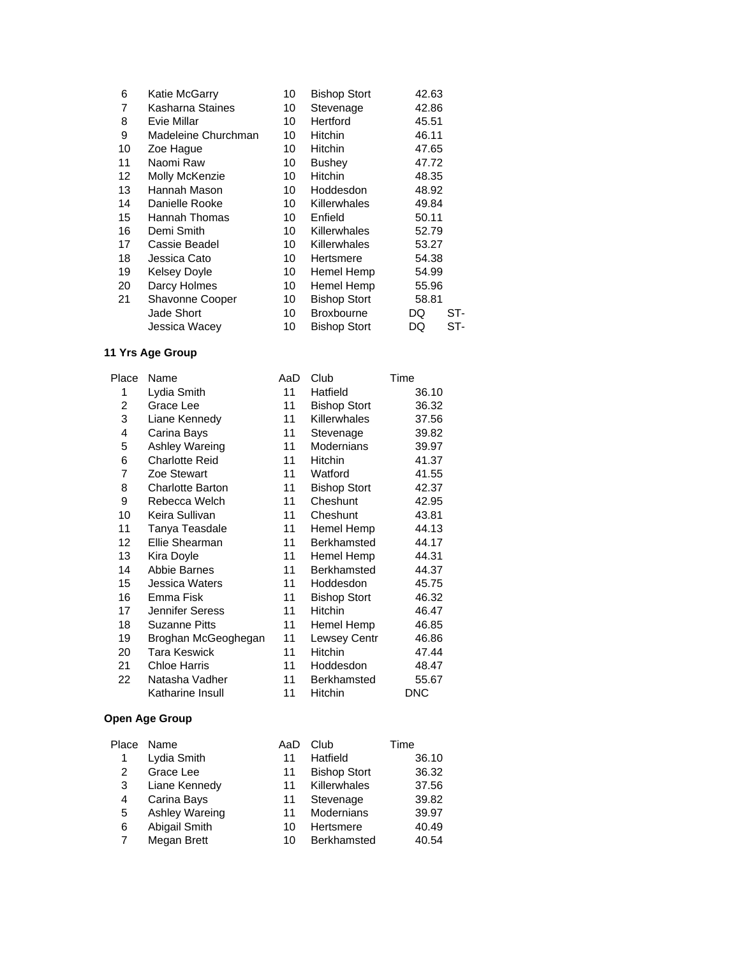| 6  | Katie McGarry          | 10 | <b>Bishop Stort</b> | 42.63     |
|----|------------------------|----|---------------------|-----------|
| 7  | Kasharna Staines       | 10 | Stevenage           | 42.86     |
| 8  | Evie Millar            | 10 | Hertford            | 45.51     |
| 9  | Madeleine Churchman    | 10 | <b>Hitchin</b>      | 46.11     |
| 10 | Zoe Hague              | 10 | <b>Hitchin</b>      | 47.65     |
| 11 | Naomi Raw              | 10 | <b>Bushey</b>       | 47.72     |
| 12 | Molly McKenzie         | 10 | Hitchin             | 48.35     |
| 13 | Hannah Mason           | 10 | Hoddesdon           | 48.92     |
| 14 | Danielle Rooke         | 10 | <b>Killerwhales</b> | 49.84     |
| 15 | Hannah Thomas          | 10 | Enfield             | 50.11     |
| 16 | Demi Smith             | 10 | <b>Killerwhales</b> | 52.79     |
| 17 | Cassie Beadel          | 10 | Killerwhales        | 53.27     |
| 18 | Jessica Cato           | 10 | Hertsmere           | 54.38     |
| 19 | <b>Kelsey Doyle</b>    | 10 | Hemel Hemp          | 54.99     |
| 20 | Darcy Holmes           | 10 | Hemel Hemp          | 55.96     |
| 21 | <b>Shavonne Cooper</b> | 10 | <b>Bishop Stort</b> | 58.81     |
|    | Jade Short             | 10 | <b>Broxbourne</b>   | ST-<br>DQ |
|    | Jessica Wacey          | 10 | <b>Bishop Stort</b> | ST-<br>DQ |

| Place | Name                    | AaD | Club                | Time       |
|-------|-------------------------|-----|---------------------|------------|
| 1     | Lydia Smith             | 11  | Hatfield            | 36.10      |
| 2     | Grace Lee               | 11  | <b>Bishop Stort</b> | 36.32      |
| 3     | Liane Kennedy           | 11  | Killerwhales        | 37.56      |
| 4     | Carina Bays             | 11  | Stevenage           | 39.82      |
| 5     | Ashley Wareing          | 11  | Modernians          | 39.97      |
| 6     | <b>Charlotte Reid</b>   | 11  | Hitchin             | 41.37      |
| 7     | Zoe Stewart             | 11  | Watford             | 41.55      |
| 8     | <b>Charlotte Barton</b> | 11  | <b>Bishop Stort</b> | 42.37      |
| 9     | Rebecca Welch           | 11  | Cheshunt            | 42.95      |
| 10    | Keira Sullivan          | 11  | Cheshunt            | 43.81      |
| 11    | Tanya Teasdale          | 11  | Hemel Hemp          | 44.13      |
| 12    | Ellie Shearman          | 11  | Berkhamsted         | 44.17      |
| 13    | Kira Doyle              | 11  | Hemel Hemp          | 44.31      |
| 14    | Abbie Barnes            | 11  | <b>Berkhamsted</b>  | 44.37      |
| 15    | Jessica Waters          | 11  | Hoddesdon           | 45.75      |
| 16    | Emma Fisk               | 11  | <b>Bishop Stort</b> | 46.32      |
| 17    | Jennifer Seress         | 11  | Hitchin             | 46.47      |
| 18    | <b>Suzanne Pitts</b>    | 11  | Hemel Hemp          | 46.85      |
| 19    | Broghan McGeoghegan     | 11  | Lewsey Centr        | 46.86      |
| 20    | Tara Keswick            | 11  | <b>Hitchin</b>      | 47.44      |
| 21    | <b>Chloe Harris</b>     | 11  | Hoddesdon           | 48.47      |
| 22    | Natasha Vadher          | 11  | Berkhamsted         | 55.67      |
|       | Katharine Insull        | 11  | Hitchin             | <b>DNC</b> |

| Place | Name           | AaD | Club                | Time  |
|-------|----------------|-----|---------------------|-------|
|       | Lydia Smith    | 11  | Hatfield            | 36.10 |
| 2     | Grace Lee      | 11  | <b>Bishop Stort</b> | 36.32 |
| 3     | Liane Kennedy  | 11  | Killerwhales        | 37.56 |
| 4     | Carina Bays    | 11  | Stevenage           | 39.82 |
| 5     | Ashley Wareing | 11  | Modernians          | 39.97 |
| 6     | Abigail Smith  | 10  | Hertsmere           | 40.49 |
| 7     | Megan Brett    | 10  | Berkhamsted         | 40.54 |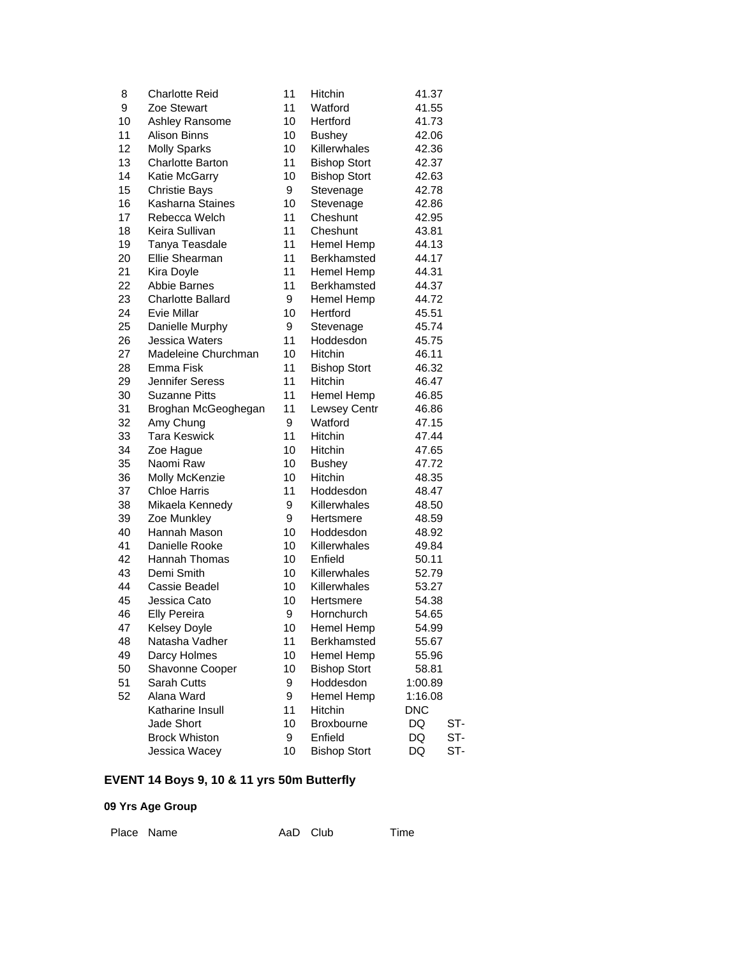| 8  | <b>Charlotte Reid</b>    | 11 | Hitchin             | 41.37      |
|----|--------------------------|----|---------------------|------------|
| 9  | Zoe Stewart              | 11 | Watford             | 41.55      |
| 10 | Ashley Ransome           | 10 | Hertford            | 41.73      |
| 11 | <b>Alison Binns</b>      | 10 | <b>Bushey</b>       | 42.06      |
| 12 | <b>Molly Sparks</b>      | 10 | Killerwhales        | 42.36      |
| 13 | <b>Charlotte Barton</b>  | 11 | <b>Bishop Stort</b> | 42.37      |
| 14 | Katie McGarry            | 10 | <b>Bishop Stort</b> | 42.63      |
| 15 | <b>Christie Bays</b>     | 9  | Stevenage           | 42.78      |
| 16 | Kasharna Staines         | 10 | Stevenage           | 42.86      |
| 17 | Rebecca Welch            | 11 | Cheshunt            | 42.95      |
| 18 | Keira Sullivan           | 11 | Cheshunt            | 43.81      |
| 19 | Tanya Teasdale           | 11 | Hemel Hemp          | 44.13      |
| 20 | Ellie Shearman           | 11 | Berkhamsted         | 44.17      |
| 21 | Kira Doyle               | 11 | Hemel Hemp          | 44.31      |
| 22 | Abbie Barnes             | 11 | <b>Berkhamsted</b>  | 44.37      |
| 23 | <b>Charlotte Ballard</b> | 9  | Hemel Hemp          | 44.72      |
| 24 | Evie Millar              | 10 | Hertford            | 45.51      |
| 25 | Danielle Murphy          | 9  | Stevenage           | 45.74      |
| 26 | Jessica Waters           | 11 | Hoddesdon           | 45.75      |
| 27 | Madeleine Churchman      | 10 | Hitchin             | 46.11      |
| 28 | Emma Fisk                | 11 | <b>Bishop Stort</b> | 46.32      |
| 29 | Jennifer Seress          | 11 | Hitchin             | 46.47      |
| 30 | <b>Suzanne Pitts</b>     | 11 | Hemel Hemp          | 46.85      |
| 31 | Broghan McGeoghegan      | 11 | Lewsey Centr        | 46.86      |
| 32 | Amy Chung                | 9  | Watford             | 47.15      |
| 33 | <b>Tara Keswick</b>      | 11 | Hitchin             | 47.44      |
| 34 | Zoe Hague                | 10 | Hitchin             | 47.65      |
| 35 | Naomi Raw                | 10 | <b>Bushey</b>       | 47.72      |
| 36 | Molly McKenzie           | 10 | Hitchin             | 48.35      |
| 37 | <b>Chloe Harris</b>      | 11 | Hoddesdon           | 48.47      |
| 38 | Mikaela Kennedy          | 9  | Killerwhales        | 48.50      |
| 39 | Zoe Munkley              | 9  | Hertsmere           | 48.59      |
| 40 | Hannah Mason             | 10 | Hoddesdon           | 48.92      |
| 41 | Danielle Rooke           | 10 | Killerwhales        | 49.84      |
| 42 | <b>Hannah Thomas</b>     | 10 | Enfield             | 50.11      |
| 43 | Demi Smith               | 10 | Killerwhales        | 52.79      |
| 44 | Cassie Beadel            | 10 | Killerwhales        | 53.27      |
| 45 | Jessica Cato             | 10 | Hertsmere           | 54.38      |
| 46 | <b>Elly Pereira</b>      | 9  | Hornchurch          | 54.65      |
| 47 | <b>Kelsey Doyle</b>      | 10 | Hemel Hemp          | 54.99      |
| 48 | Natasha Vadher           | 11 | Berkhamsted         | 55.67      |
| 49 | Darcy Holmes             | 10 | Hemel Hemp          | 55.96      |
| 50 | Shavonne Cooper          | 10 | <b>Bishop Stort</b> | 58.81      |
| 51 | Sarah Cutts              | 9  | Hoddesdon           | 1:00.89    |
| 52 | Alana Ward               | 9  | Hemel Hemp          | 1:16.08    |
|    | Katharine Insull         | 11 | Hitchin             | <b>DNC</b> |
|    | Jade Short               | 10 | <b>Broxbourne</b>   | DQ<br>ST-  |
|    | <b>Brock Whiston</b>     | 9  | Enfield             | DQ<br>ST-  |
|    | Jessica Wacey            | 10 | <b>Bishop Stort</b> | DQ<br>ST-  |

# **EVENT 14 Boys 9, 10 & 11 yrs 50m Butterfly**

| Place Name | AaD Club | Time |
|------------|----------|------|
|            |          |      |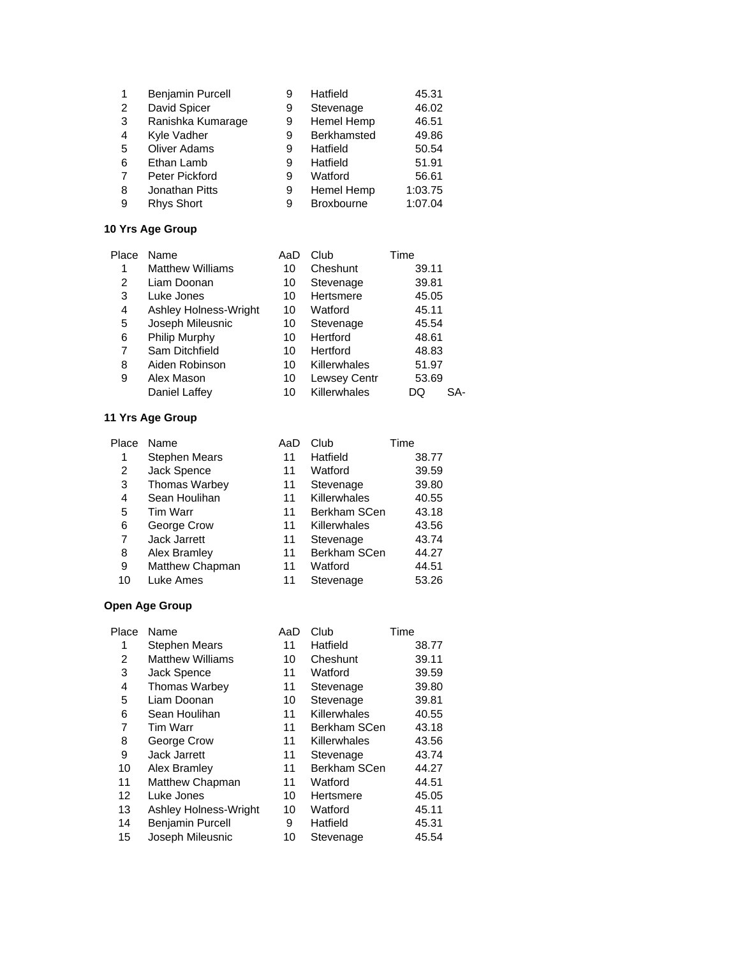|   | Benjamin Purcell    | 9 | Hatfield          | 45.31   |
|---|---------------------|---|-------------------|---------|
| 2 | David Spicer        | 9 | Stevenage         | 46.02   |
| 3 | Ranishka Kumarage   | 9 | Hemel Hemp        | 46.51   |
| 4 | Kyle Vadher         | 9 | Berkhamsted       | 49.86   |
| 5 | <b>Oliver Adams</b> | 9 | Hatfield          | 50.54   |
| 6 | Ethan Lamb          | 9 | Hatfield          | 51.91   |
| 7 | Peter Pickford      | 9 | Watford           | 56.61   |
| 8 | Jonathan Pitts      | 9 | Hemel Hemp        | 1:03.75 |
| 9 | <b>Rhys Short</b>   | 9 | <b>Broxbourne</b> | 1:07.04 |

| Place | Name                    | AaD | Club                | Time  |
|-------|-------------------------|-----|---------------------|-------|
| 1     | <b>Matthew Williams</b> | 10  | Cheshunt            | 39.11 |
| 2     | Liam Doonan             | 10  | Stevenage           | 39.81 |
| 3     | Luke Jones              | 10  | Hertsmere           | 45.05 |
| 4     | Ashley Holness-Wright   | 10  | Watford             | 45.11 |
| 5     | Joseph Mileusnic        | 10  | Stevenage           | 45.54 |
| 6     | Philip Murphy           | 10  | Hertford            | 48.61 |
| 7     | Sam Ditchfield          | 10  | Hertford            | 48.83 |
| 8     | Aiden Robinson          | 10  | Killerwhales        | 51.97 |
| 9     | Alex Mason              | 10  | <b>Lewsey Centr</b> | 53.69 |
|       | Daniel Laffey           | 10  | Killerwhales        | DQ    |

#### **11 Yrs Age Group**

| Place | Name                 | AaD | Club         | Time  |
|-------|----------------------|-----|--------------|-------|
| 1     | <b>Stephen Mears</b> | 11  | Hatfield     | 38.77 |
| 2     | Jack Spence          | 11  | Watford      | 39.59 |
| 3     | <b>Thomas Warbey</b> | 11  | Stevenage    | 39.80 |
| 4     | Sean Houlihan        | 11  | Killerwhales | 40.55 |
| 5     | Tim Warr             | 11  | Berkham SCen | 43.18 |
| 6     | George Crow          | 11  | Killerwhales | 43.56 |
| 7     | Jack Jarrett         | 11  | Stevenage    | 43.74 |
| 8     | Alex Bramley         | 11  | Berkham SCen | 44.27 |
| 9     | Matthew Chapman      | 11  | Watford      | 44.51 |
| 10    | Luke Ames            | 11  | Stevenage    | 53.26 |

| Place | Name                    | AaD | Club                | Time  |
|-------|-------------------------|-----|---------------------|-------|
| 1     | <b>Stephen Mears</b>    | 11  | Hatfield            | 38.77 |
| 2     | <b>Matthew Williams</b> | 10  | Cheshunt            | 39.11 |
| 3     | Jack Spence             | 11  | Watford             | 39.59 |
| 4     | <b>Thomas Warbey</b>    | 11  | Stevenage           | 39.80 |
| 5     | Liam Doonan             | 10  | Stevenage           | 39.81 |
| 6     | Sean Houlihan           | 11  | Killerwhales        | 40.55 |
| 7     | Tim Warr                | 11  | <b>Berkham SCen</b> | 43.18 |
| 8     | George Crow             | 11  | Killerwhales        | 43.56 |
| 9     | <b>Jack Jarrett</b>     | 11  | Stevenage           | 43.74 |
| 10    | Alex Bramley            | 11  | Berkham SCen        | 44.27 |
| 11    | Matthew Chapman         | 11  | Watford             | 44.51 |
| 12    | Luke Jones              | 10  | Hertsmere           | 45.05 |
| 13    | Ashley Holness-Wright   | 10  | Watford             | 45.11 |
| 14    | <b>Benjamin Purcell</b> | 9   | Hatfield            | 45.31 |
| 15    | Joseph Mileusnic        | 10  | Stevenage           | 45.54 |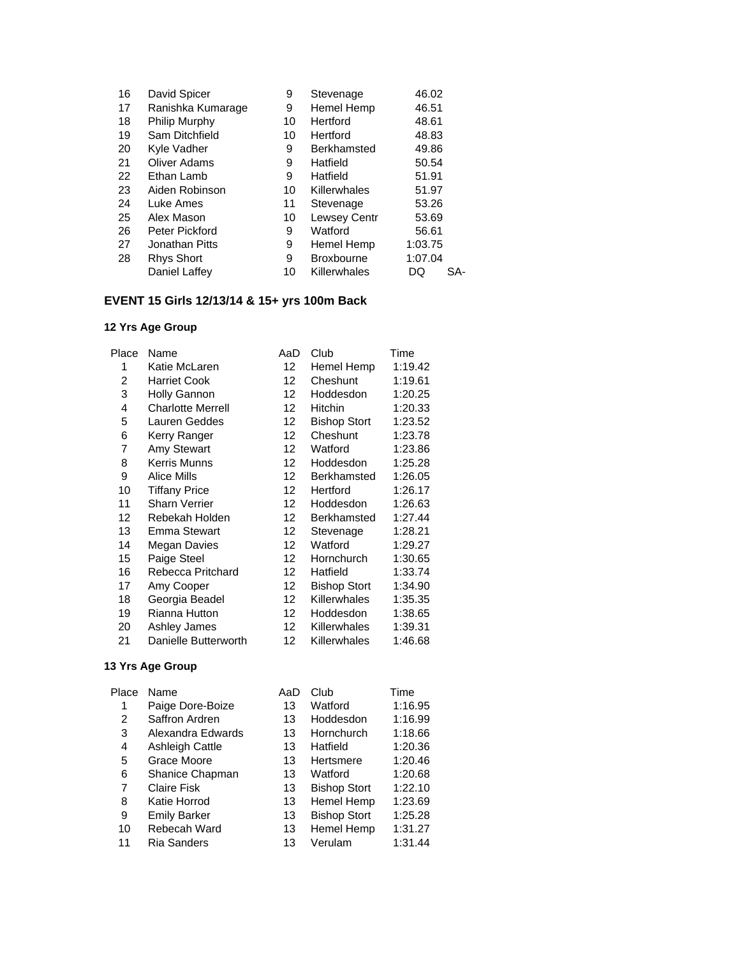| 16 | David Spicer         | 9  | Stevenage         | 46.02     |
|----|----------------------|----|-------------------|-----------|
| 17 | Ranishka Kumarage    | 9  | Hemel Hemp        | 46.51     |
| 18 | <b>Philip Murphy</b> | 10 | Hertford          | 48.61     |
| 19 | Sam Ditchfield       | 10 | Hertford          | 48.83     |
| 20 | Kyle Vadher          | 9  | Berkhamsted       | 49.86     |
| 21 | Oliver Adams         | 9  | Hatfield          | 50.54     |
| 22 | Ethan Lamb           | 9  | Hatfield          | 51.91     |
| 23 | Aiden Robinson       | 10 | Killerwhales      | 51.97     |
| 24 | Luke Ames            | 11 | Stevenage         | 53.26     |
| 25 | Alex Mason           | 10 | Lewsey Centr      | 53.69     |
| 26 | Peter Pickford       | 9  | Watford           | 56.61     |
| 27 | Jonathan Pitts       | 9  | Hemel Hemp        | 1:03.75   |
| 28 | <b>Rhys Short</b>    | 9  | <b>Broxbourne</b> | 1:07.04   |
|    | Daniel Laffey        | 10 | Killerwhales      | SA-<br>DQ |
|    |                      |    |                   |           |

# **EVENT 15 Girls 12/13/14 & 15+ yrs 100m Back**

### **12 Yrs Age Group**

| Place | Name                     | AaD               | Club                | Time    |
|-------|--------------------------|-------------------|---------------------|---------|
| 1     | Katie McLaren            | $12 \overline{ }$ | Hemel Hemp          | 1:19.42 |
| 2     | <b>Harriet Cook</b>      | 12                | Cheshunt            | 1:19.61 |
| 3     | <b>Holly Gannon</b>      | $12 \overline{ }$ | Hoddesdon           | 1:20.25 |
| 4     | <b>Charlotte Merrell</b> | 12                | <b>Hitchin</b>      | 1:20.33 |
| 5     | Lauren Geddes            | 12                | <b>Bishop Stort</b> | 1:23.52 |
| 6     | Kerry Ranger             | $12 \overline{ }$ | Cheshunt            | 1:23.78 |
| 7     | Amy Stewart              | 12                | Watford             | 1:23.86 |
| 8     | Kerris Munns             | $12 \overline{ }$ | Hoddesdon           | 1:25.28 |
| 9     | Alice Mills              | $12 \overline{ }$ | Berkhamsted         | 1:26.05 |
| 10    | <b>Tiffany Price</b>     | 12                | Hertford            | 1:26.17 |
| 11    | <b>Sharn Verrier</b>     | 12                | Hoddesdon           | 1:26.63 |
| 12    | Rebekah Holden           | 12                | Berkhamsted         | 1:27.44 |
| 13    | <b>Emma Stewart</b>      | $12 \overline{ }$ | Stevenage           | 1:28.21 |
| 14    | Megan Davies             | 12                | Watford             | 1:29.27 |
| 15    | Paige Steel              | $12 \overline{ }$ | Hornchurch          | 1:30.65 |
| 16    | Rebecca Pritchard        | $12 \overline{ }$ | Hatfield            | 1:33.74 |
| 17    | Amy Cooper               | 12                | <b>Bishop Stort</b> | 1:34.90 |
| 18    | Georgia Beadel           | 12                | Killerwhales        | 1:35.35 |
| 19    | <b>Rianna Hutton</b>     | 12                | Hoddesdon           | 1:38.65 |
| 20    | Ashley James             | $12 \overline{ }$ | Killerwhales        | 1:39.31 |
| 21    | Danielle Butterworth     | 12                | Killerwhales        | 1:46.68 |

| Place | Name                   | AaD | Club                | Time    |
|-------|------------------------|-----|---------------------|---------|
| 1     | Paige Dore-Boize       | 13  | Watford             | 1:16.95 |
| 2     | Saffron Ardren         | 13  | Hoddesdon           | 1:16.99 |
| 3     | Alexandra Edwards      | 13  | Hornchurch          | 1:18.66 |
| 4     | <b>Ashleigh Cattle</b> | 13  | Hatfield            | 1:20.36 |
| 5     | Grace Moore            | 13  | Hertsmere           | 1:20.46 |
| 6     | Shanice Chapman        | 13  | Watford             | 1:20.68 |
| 7     | <b>Claire Fisk</b>     | 13  | <b>Bishop Stort</b> | 1:22.10 |
| 8     | Katie Horrod           | 13  | Hemel Hemp          | 1:23.69 |
| 9     | <b>Emily Barker</b>    | 13  | <b>Bishop Stort</b> | 1:25.28 |
| 10    | Rebecah Ward           | 13  | Hemel Hemp          | 1:31.27 |
| 11    | <b>Ria Sanders</b>     | 13  | Verulam             | 1:31.44 |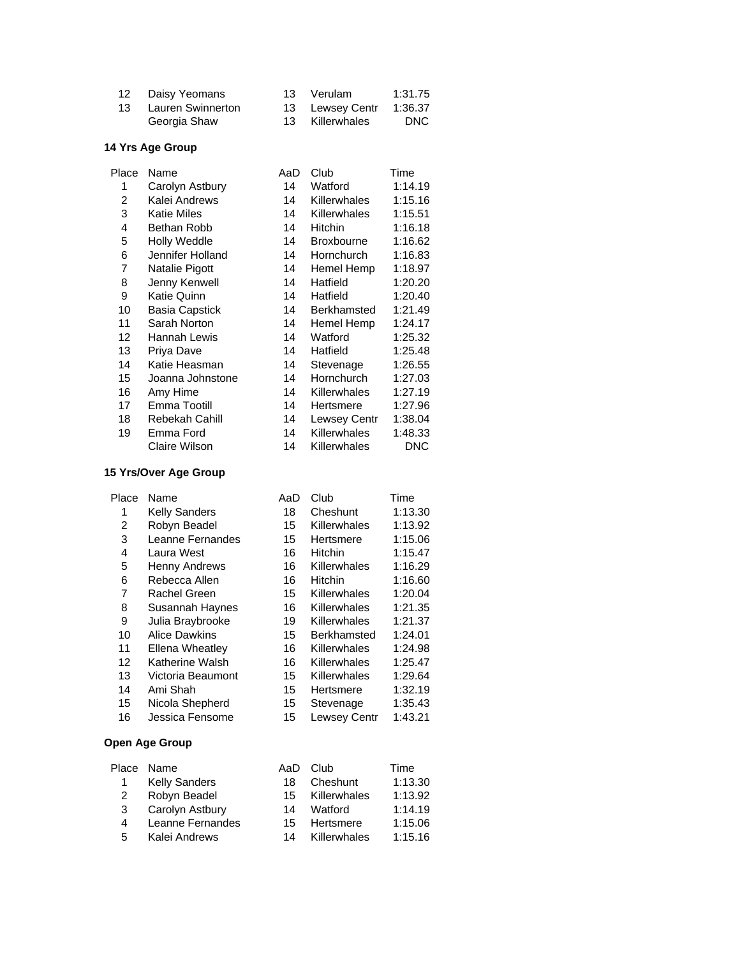| 12 Daisy Yeomans     | 13 Verulam      | 1:31.75 |
|----------------------|-----------------|---------|
| 13 Lauren Swinnerton | 13 Lewsey Centr | 1:36.37 |
| Georgia Shaw         | 13 Killerwhales | DNC.    |

| Place | Name                  | AaD | Club                | Time    |
|-------|-----------------------|-----|---------------------|---------|
| 1     | Carolyn Astbury       | 14  | Watford             | 1:14.19 |
| 2     | Kalei Andrews         | 14  | Killerwhales        | 1:15.16 |
| 3     | <b>Katie Miles</b>    | 14  | Killerwhales        | 1:15.51 |
| 4     | Bethan Robb           | 14  | <b>Hitchin</b>      | 1:16.18 |
| 5     | <b>Holly Weddle</b>   | 14  | <b>Broxbourne</b>   | 1:16.62 |
| 6     | Jennifer Holland      | 14  | Hornchurch          | 1:16.83 |
| 7     | Natalie Pigott        | 14  | Hemel Hemp          | 1:18.97 |
| 8     | Jenny Kenwell         | 14  | Hatfield            | 1:20.20 |
| 9     | Katie Quinn           | 14  | Hatfield            | 1:20.40 |
| 10    | <b>Basia Capstick</b> | 14  | Berkhamsted         | 1:21.49 |
| 11    | Sarah Norton          | 14  | Hemel Hemp          | 1:24.17 |
| 12    | Hannah Lewis          | 14  | Watford             | 1:25.32 |
| 13    | Priya Dave            | 14  | Hatfield            | 1:25.48 |
| 14    | Katie Heasman         | 14  | Stevenage           | 1:26.55 |
| 15    | Joanna Johnstone      | 14  | Hornchurch          | 1:27.03 |
| 16    | Amy Hime              | 14  | <b>Killerwhales</b> | 1:27.19 |
| 17    | Emma Tootill          | 14  | Hertsmere           | 1:27.96 |
| 18    | Rebekah Cahill        | 14  | Lewsey Centr        | 1:38.04 |
| 19    | Emma Ford             | 14  | Killerwhales        | 1:48.33 |
|       | Claire Wilson         | 14  | Killerwhales        | DNC     |
|       |                       |     |                     |         |

### **15 Yrs/Over Age Group**

| Place | Name                 | AaD | Club               | Time    |
|-------|----------------------|-----|--------------------|---------|
| 1     | <b>Kelly Sanders</b> | 18  | Cheshunt           | 1:13.30 |
| 2     | Robyn Beadel         | 15  | Killerwhales       | 1:13.92 |
| 3     | Leanne Fernandes     | 15  | Hertsmere          | 1:15.06 |
| 4     | Laura West           | 16  | Hitchin            | 1:15.47 |
| 5     | <b>Henny Andrews</b> | 16  | Killerwhales       | 1:16.29 |
| 6     | Rebecca Allen        | 16  | <b>Hitchin</b>     | 1:16.60 |
| 7     | Rachel Green         | 15  | Killerwhales       | 1:20.04 |
| 8     | Susannah Haynes      | 16  | Killerwhales       | 1:21.35 |
| 9     | Julia Braybrooke     | 19  | Killerwhales       | 1:21.37 |
| 10    | <b>Alice Dawkins</b> | 15  | <b>Berkhamsted</b> | 1:24.01 |
| 11    | Ellena Wheatley      | 16  | Killerwhales       | 1:24.98 |
| 12    | Katherine Walsh      | 16  | Killerwhales       | 1:25.47 |
| 13    | Victoria Beaumont    | 15  | Killerwhales       | 1:29.64 |
| 14    | Ami Shah             | 15  | Hertsmere          | 1:32.19 |
| 15    | Nicola Shepherd      | 15  | Stevenage          | 1:35.43 |
| 16    | Jessica Fensome      | 15  | Lewsey Centr       | 1:43.21 |

|   | Place Name           | AaD | Club         | Time    |
|---|----------------------|-----|--------------|---------|
| 1 | <b>Kelly Sanders</b> | 18  | Cheshunt     | 1:13.30 |
| 2 | Robyn Beadel         | 15  | Killerwhales | 1:13.92 |
| 3 | Carolyn Astbury      | 14  | Watford      | 1:14.19 |
| 4 | Leanne Fernandes     | 15. | Hertsmere    | 1:15.06 |
| 5 | Kalei Andrews        | 14  | Killerwhales | 1:15.16 |
|   |                      |     |              |         |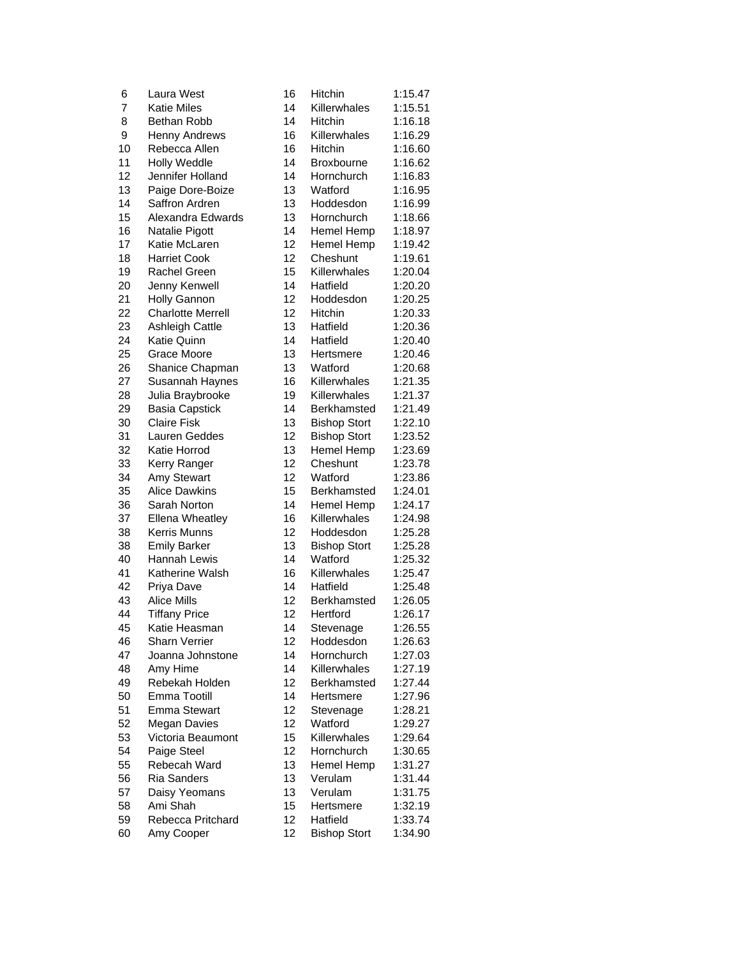| 6        | Laura West                       | 16 | Hitchin              | 1:15.47 |
|----------|----------------------------------|----|----------------------|---------|
| 7        | <b>Katie Miles</b>               | 14 | Killerwhales         | 1:15.51 |
| 8        | Bethan Robb                      | 14 | <b>Hitchin</b>       | 1:16.18 |
| 9        | <b>Henny Andrews</b>             | 16 | Killerwhales         | 1:16.29 |
| 10       | Rebecca Allen                    | 16 | Hitchin              | 1:16.60 |
| 11       | <b>Holly Weddle</b>              | 14 | <b>Broxbourne</b>    | 1:16.62 |
| 12       | Jennifer Holland                 | 14 | Hornchurch           | 1:16.83 |
| 13       | Paige Dore-Boize                 | 13 | Watford              | 1:16.95 |
| 14       | Saffron Ardren                   | 13 | Hoddesdon            | 1:16.99 |
| 15       | Alexandra Edwards                | 13 | Hornchurch           | 1:18.66 |
| 16       | Natalie Pigott                   | 14 | Hemel Hemp           | 1:18.97 |
| 17       | Katie McLaren                    | 12 | Hemel Hemp           | 1:19.42 |
| 18       | <b>Harriet Cook</b>              | 12 | Cheshunt             | 1:19.61 |
| 19       | Rachel Green                     | 15 | Killerwhales         | 1:20.04 |
| 20       | Jenny Kenwell                    | 14 | Hatfield             | 1:20.20 |
| 21       | Holly Gannon                     | 12 | Hoddesdon            | 1:20.25 |
| 22       | <b>Charlotte Merrell</b>         | 12 | Hitchin              | 1:20.33 |
| 23       | Ashleigh Cattle                  | 13 | Hatfield             | 1:20.36 |
| 24       | Katie Quinn                      | 14 | Hatfield             | 1:20.40 |
| 25       | Grace Moore                      | 13 | Hertsmere            | 1:20.46 |
| 26       | Shanice Chapman                  | 13 | Watford              | 1:20.68 |
| 27       | Susannah Haynes                  | 16 | Killerwhales         | 1:21.35 |
| 28       | Julia Braybrooke                 | 19 | Killerwhales         | 1:21.37 |
| 29       | <b>Basia Capstick</b>            | 14 | Berkhamsted          | 1:21.49 |
| 30       | <b>Claire Fisk</b>               | 13 | <b>Bishop Stort</b>  | 1:22.10 |
| 31       | Lauren Geddes                    | 12 | <b>Bishop Stort</b>  | 1:23.52 |
| 32       | Katie Horrod                     | 13 | Hemel Hemp           | 1:23.69 |
| 33       | Kerry Ranger                     | 12 | Cheshunt             | 1:23.78 |
| 34       | Amy Stewart                      | 12 | Watford              | 1:23.86 |
| 35       | <b>Alice Dawkins</b>             | 15 | Berkhamsted          | 1:24.01 |
| 36       | Sarah Norton                     | 14 | Hemel Hemp           | 1:24.17 |
| 37       | <b>Ellena Wheatley</b>           | 16 | Killerwhales         | 1:24.98 |
| 38       | Kerris Munns                     | 12 | <b>Hoddesdon</b>     | 1:25.28 |
| 38       | <b>Emily Barker</b>              | 13 | <b>Bishop Stort</b>  | 1:25.28 |
| 40       | <b>Hannah Lewis</b>              | 14 | Watford              | 1:25.32 |
| 41       | Katherine Walsh                  | 16 | Killerwhales         | 1:25.47 |
| 42       | Priya Dave                       | 14 | Hatfield             | 1:25.48 |
| 43       | <b>Alice Mills</b>               | 12 | Berkhamsted          | 1:26.05 |
| 44       | <b>Tiffany Price</b>             | 12 | Hertford             | 1:26.17 |
| 45       | Katie Heasman                    | 14 | Stevenage            | 1:26.55 |
| 46       | <b>Sharn Verrier</b>             | 12 | Hoddesdon            | 1:26.63 |
| 47       | Joanna Johnstone                 | 14 | Hornchurch           | 1:27.03 |
| 48       | Amy Hime                         | 14 | Killerwhales         | 1:27.19 |
| 49       | Rebekah Holden                   | 12 | Berkhamsted          | 1:27.44 |
| 50       | Emma Tootill                     | 14 | Hertsmere            | 1:27.96 |
| 51       | <b>Emma Stewart</b>              | 12 |                      | 1:28.21 |
| 52       | Megan Davies                     | 12 | Stevenage<br>Watford | 1:29.27 |
|          |                                  | 15 | Killerwhales         | 1:29.64 |
| 53<br>54 | Victoria Beaumont<br>Paige Steel | 12 | Hornchurch           |         |
|          |                                  |    |                      | 1:30.65 |
| 55       | Rebecah Ward                     | 13 | Hemel Hemp           | 1:31.27 |
| 56       | <b>Ria Sanders</b>               | 13 | Verulam              | 1:31.44 |
| 57       | Daisy Yeomans                    | 13 | Verulam              | 1:31.75 |
| 58       | Ami Shah                         | 15 | Hertsmere            | 1:32.19 |
| 59       | Rebecca Pritchard                | 12 | Hatfield             | 1:33.74 |
| 60       | Amy Cooper                       | 12 | <b>Bishop Stort</b>  | 1:34.90 |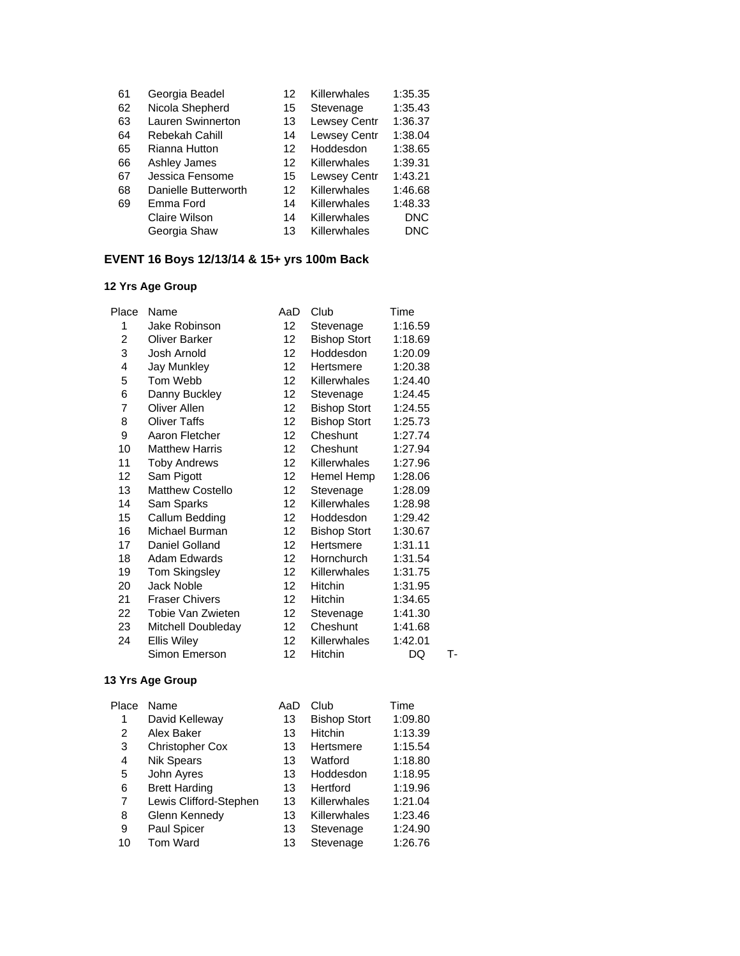| 61 | Georgia Beadel       | 12 | Killerwhales        | 1:35.35    |
|----|----------------------|----|---------------------|------------|
| 62 | Nicola Shepherd      | 15 | Stevenage           | 1:35.43    |
| 63 | Lauren Swinnerton    | 13 | <b>Lewsey Centr</b> | 1:36.37    |
| 64 | Rebekah Cahill       | 14 | Lewsey Centr        | 1:38.04    |
| 65 | Rianna Hutton        | 12 | Hoddesdon           | 1:38.65    |
| 66 | Ashley James         | 12 | Killerwhales        | 1:39.31    |
| 67 | Jessica Fensome      | 15 | <b>Lewsey Centr</b> | 1:43.21    |
| 68 | Danielle Butterworth | 12 | Killerwhales        | 1:46.68    |
| 69 | Emma Ford            | 14 | Killerwhales        | 1:48.33    |
|    | Claire Wilson        | 14 | Killerwhales        | <b>DNC</b> |
|    | Georgia Shaw         | 13 | Killerwhales        | <b>DNC</b> |
|    |                      |    |                     |            |

# **EVENT 16 Boys 12/13/14 & 15+ yrs 100m Back**

### **12 Yrs Age Group**

| Place | Name                    | AaD               | Club                | Time    |    |
|-------|-------------------------|-------------------|---------------------|---------|----|
| 1     | Jake Robinson           | 12                | Stevenage           | 1:16.59 |    |
| 2     | <b>Oliver Barker</b>    | 12 <sup>2</sup>   | <b>Bishop Stort</b> | 1:18.69 |    |
| 3     | Josh Arnold             | 12 <sup>2</sup>   | Hoddesdon           | 1:20.09 |    |
| 4     | Jay Munkley             | 12                | Hertsmere           | 1:20.38 |    |
| 5     | Tom Webb                | 12 <sub>2</sub>   | Killerwhales        | 1:24.40 |    |
| 6     | Danny Buckley           | 12 <sup>2</sup>   | Stevenage           | 1:24.45 |    |
| 7     | Oliver Allen            | 12 <sup>2</sup>   | <b>Bishop Stort</b> | 1:24.55 |    |
| 8     | <b>Oliver Taffs</b>     | 12                | <b>Bishop Stort</b> | 1:25.73 |    |
| 9     | Aaron Fletcher          | 12 <sup>2</sup>   | Cheshunt            | 1:27.74 |    |
| 10    | <b>Matthew Harris</b>   | 12                | Cheshunt            | 1:27.94 |    |
| 11    | <b>Toby Andrews</b>     | 12 <sup>2</sup>   | Killerwhales        | 1:27.96 |    |
| 12    | Sam Pigott              | 12 <sup>2</sup>   | Hemel Hemp          | 1:28.06 |    |
| 13    | <b>Matthew Costello</b> | 12 <sup>12</sup>  | Stevenage           | 1:28.09 |    |
| 14    | Sam Sparks              | 12 <sup>12</sup>  | <b>Killerwhales</b> | 1:28.98 |    |
| 15    | Callum Bedding          | 12 <sup>12</sup>  | Hoddesdon           | 1:29.42 |    |
| 16    | Michael Burman          | 12 <sup>2</sup>   | <b>Bishop Stort</b> | 1:30.67 |    |
| 17    | Daniel Golland          | 12 <sup>2</sup>   | Hertsmere           | 1:31.11 |    |
| 18    | <b>Adam Edwards</b>     | 12 <sup>2</sup>   | <b>Hornchurch</b>   | 1:31.54 |    |
| 19    | <b>Tom Skingsley</b>    | 12 <sup>2</sup>   | <b>Killerwhales</b> | 1:31.75 |    |
| 20    | <b>Jack Noble</b>       | 12 <sup>2</sup>   | <b>Hitchin</b>      | 1:31.95 |    |
| 21    | <b>Fraser Chivers</b>   | 12 <sup>2</sup>   | <b>Hitchin</b>      | 1:34.65 |    |
| 22    | Tobie Van Zwieten       | 12                | Stevenage           | 1:41.30 |    |
| 23    | Mitchell Doubleday      | 12 <sup>12</sup>  | Cheshunt            | 1:41.68 |    |
| 24    | <b>Ellis Wiley</b>      | 12                | <b>Killerwhales</b> | 1:42.01 |    |
|       | Simon Emerson           | $12 \overline{ }$ | Hitchin             | DQ      | т. |

| Place | Name                   | AaD | Club                | Time    |
|-------|------------------------|-----|---------------------|---------|
| 1     | David Kelleway         | 13  | <b>Bishop Stort</b> | 1:09.80 |
| 2     | Alex Baker             | 13  | <b>Hitchin</b>      | 1:13.39 |
| 3     | <b>Christopher Cox</b> | 13  | Hertsmere           | 1:15.54 |
| 4     | <b>Nik Spears</b>      | 13  | Watford             | 1:18.80 |
| 5     | John Ayres             | 13  | Hoddesdon           | 1:18.95 |
| 6     | <b>Brett Harding</b>   | 13  | Hertford            | 1:19.96 |
| 7     | Lewis Clifford-Stephen | 13  | Killerwhales        | 1:21.04 |
| 8     | Glenn Kennedy          | 13  | Killerwhales        | 1:23.46 |
| 9     | Paul Spicer            | 13  | Stevenage           | 1:24.90 |
| 10    | Tom Ward               | 13  | Stevenage           | 1:26.76 |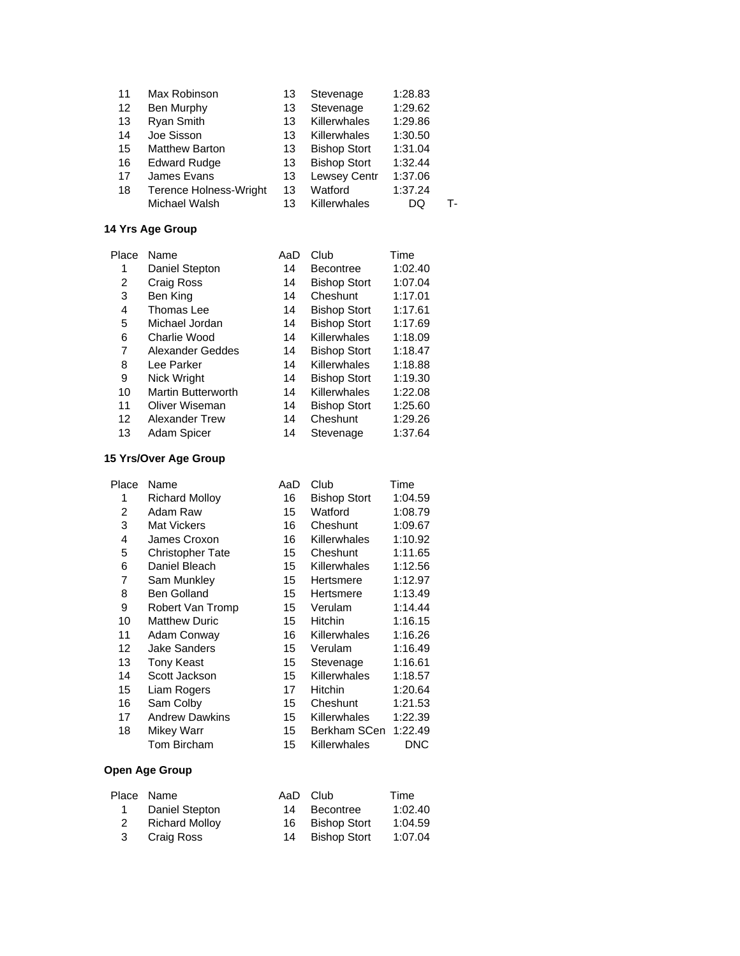| 11 | Max Robinson                  | 13 | Stevenage           | 1:28.83 |    |
|----|-------------------------------|----|---------------------|---------|----|
| 12 | Ben Murphy                    | 13 | Stevenage           | 1:29.62 |    |
| 13 | Ryan Smith                    | 13 | Killerwhales        | 1:29.86 |    |
| 14 | Joe Sisson                    | 13 | Killerwhales        | 1:30.50 |    |
| 15 | <b>Matthew Barton</b>         | 13 | <b>Bishop Stort</b> | 1:31.04 |    |
| 16 | <b>Edward Rudge</b>           | 13 | <b>Bishop Stort</b> | 1:32.44 |    |
| 17 | James Evans                   | 13 | Lewsey Centr        | 1:37.06 |    |
| 18 | <b>Terence Holness-Wright</b> | 13 | Watford             | 1:37.24 |    |
|    | Michael Walsh                 | 13 | Killerwhales        | DQ      | т. |
|    |                               |    |                     |         |    |

| Place | Name                      | AaD | Club                | Time    |
|-------|---------------------------|-----|---------------------|---------|
| 1     | Daniel Stepton            | 14  | <b>Becontree</b>    | 1:02.40 |
| 2     | Craig Ross                | 14  | <b>Bishop Stort</b> | 1:07.04 |
| 3     | Ben King                  | 14  | Cheshunt            | 1:17.01 |
| 4     | Thomas Lee                | 14  | <b>Bishop Stort</b> | 1:17.61 |
| 5     | Michael Jordan            | 14  | <b>Bishop Stort</b> | 1:17.69 |
| 6     | Charlie Wood              | 14  | Killerwhales        | 1:18.09 |
| 7     | Alexander Geddes          | 14  | <b>Bishop Stort</b> | 1:18.47 |
| 8     | Lee Parker                | 14  | Killerwhales        | 1:18.88 |
| 9     | Nick Wright               | 14  | <b>Bishop Stort</b> | 1:19.30 |
| 10    | <b>Martin Butterworth</b> | 14  | Killerwhales        | 1:22.08 |
| 11    | Oliver Wiseman            | 14  | <b>Bishop Stort</b> | 1:25.60 |
| 12    | Alexander Trew            | 14  | Cheshunt            | 1:29.26 |
| 13    | <b>Adam Spicer</b>        | 14  | Stevenage           | 1:37.64 |

# **15 Yrs/Over Age Group**

| Place | Name                    | AaD | Club                | Time    |
|-------|-------------------------|-----|---------------------|---------|
| 1     | <b>Richard Molloy</b>   | 16  | <b>Bishop Stort</b> | 1:04.59 |
| 2     | Adam Raw                | 15  | Watford             | 1:08.79 |
| 3     | Mat Vickers             | 16  | Cheshunt            | 1:09.67 |
| 4     | James Croxon            | 16  | Killerwhales        | 1:10.92 |
| 5     | <b>Christopher Tate</b> | 15  | Cheshunt            | 1:11.65 |
| 6     | Daniel Bleach           | 15  | Killerwhales        | 1:12.56 |
| 7     | Sam Munkley             | 15  | Hertsmere           | 1:12.97 |
| 8     | <b>Ben Golland</b>      | 15  | Hertsmere           | 1:13.49 |
| 9     | Robert Van Tromp        | 15  | Verulam             | 1:14.44 |
| 10    | <b>Matthew Duric</b>    | 15  | <b>Hitchin</b>      | 1:16.15 |
| 11    | Adam Conway             | 16  | Killerwhales        | 1:16.26 |
| 12    | <b>Jake Sanders</b>     | 15  | Verulam             | 1:16.49 |
| 13    | Tony Keast              | 15  | Stevenage           | 1:16.61 |
| 14    | Scott Jackson           | 15  | <b>Killerwhales</b> | 1:18.57 |
| 15    | Liam Rogers             | 17  | Hitchin             | 1:20.64 |
| 16    | Sam Colby               | 15  | Cheshunt            | 1:21.53 |
| 17    | <b>Andrew Dawkins</b>   | 15  | <b>Killerwhales</b> | 1:22.39 |
| 18    | Mikey Warr              | 15  | Berkham SCen        | 1:22.49 |
|       | Tom Bircham             | 15  | Killerwhales        | DNC     |
|       |                         |     |                     |         |

| Place Name            |  | Time                                                           |
|-----------------------|--|----------------------------------------------------------------|
| Daniel Stepton        |  | 1:02.40                                                        |
| <b>Richard Molloy</b> |  | 1:04.59                                                        |
| 3 Craig Ross          |  | 1:07.04                                                        |
|                       |  | AaD Club<br>14 Becontree<br>16 Bishop Stort<br>14 Bishop Stort |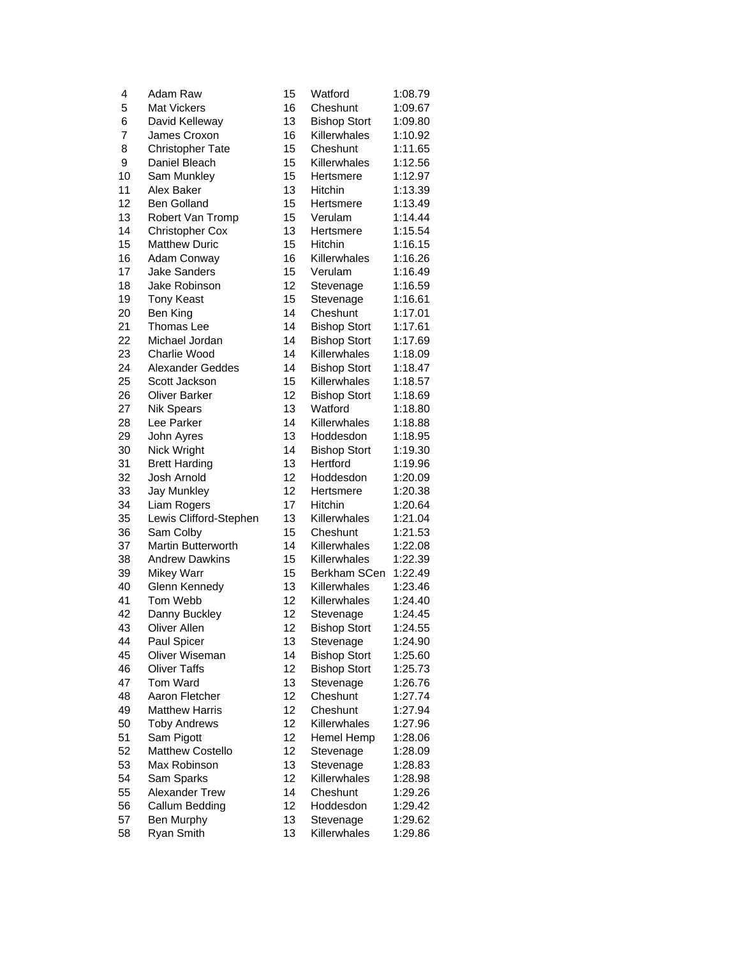| 4  | Adam Raw                  | 15 | Watford                   | 1:08.79 |
|----|---------------------------|----|---------------------------|---------|
| 5  | <b>Mat Vickers</b>        | 16 | Cheshunt                  | 1:09.67 |
| 6  | David Kelleway            | 13 | <b>Bishop Stort</b>       | 1:09.80 |
| 7  | James Croxon              | 16 | Killerwhales              | 1:10.92 |
| 8  | <b>Christopher Tate</b>   | 15 | Cheshunt                  | 1:11.65 |
| 9  | Daniel Bleach             | 15 | Killerwhales              | 1:12.56 |
| 10 | Sam Munkley               | 15 | Hertsmere                 | 1:12.97 |
| 11 | Alex Baker                | 13 | Hitchin                   | 1:13.39 |
| 12 | <b>Ben Golland</b>        | 15 | Hertsmere                 | 1:13.49 |
| 13 | Robert Van Tromp          | 15 | Verulam                   | 1:14.44 |
| 14 | <b>Christopher Cox</b>    | 13 | Hertsmere                 | 1:15.54 |
| 15 | <b>Matthew Duric</b>      | 15 | Hitchin                   | 1:16.15 |
| 16 | Adam Conway               | 16 | Killerwhales              | 1:16.26 |
| 17 | <b>Jake Sanders</b>       | 15 | Verulam                   | 1:16.49 |
| 18 | Jake Robinson             | 12 | Stevenage                 | 1:16.59 |
| 19 | <b>Tony Keast</b>         | 15 | Stevenage                 | 1:16.61 |
| 20 | Ben King                  | 14 | Cheshunt                  | 1:17.01 |
| 21 | Thomas Lee                | 14 | <b>Bishop Stort</b>       | 1:17.61 |
| 22 | Michael Jordan            | 14 | <b>Bishop Stort</b>       | 1:17.69 |
| 23 | Charlie Wood              | 14 | Killerwhales              | 1:18.09 |
| 24 | <b>Alexander Geddes</b>   | 14 | <b>Bishop Stort</b>       | 1:18.47 |
| 25 | Scott Jackson             | 15 | Killerwhales              | 1:18.57 |
| 26 | <b>Oliver Barker</b>      | 12 | <b>Bishop Stort</b>       | 1:18.69 |
| 27 | <b>Nik Spears</b>         | 13 | Watford                   | 1:18.80 |
| 28 | Lee Parker                | 14 | Killerwhales              | 1:18.88 |
| 29 | John Ayres                | 13 | Hoddesdon                 | 1:18.95 |
| 30 | Nick Wright               | 14 | <b>Bishop Stort</b>       | 1:19.30 |
| 31 | <b>Brett Harding</b>      | 13 | Hertford                  | 1:19.96 |
| 32 | Josh Arnold               | 12 | Hoddesdon                 | 1:20.09 |
| 33 | Jay Munkley               | 12 | Hertsmere                 | 1:20.38 |
| 34 | Liam Rogers               | 17 | Hitchin                   | 1:20.64 |
| 35 | Lewis Clifford-Stephen    | 13 | Killerwhales              | 1:21.04 |
| 36 | Sam Colby                 | 15 | Cheshunt                  | 1:21.53 |
| 37 | <b>Martin Butterworth</b> | 14 | Killerwhales              | 1:22.08 |
| 38 | <b>Andrew Dawkins</b>     | 15 | Killerwhales              | 1:22.39 |
| 39 | <b>Mikey Warr</b>         | 15 | Berkham SCen              | 1:22.49 |
| 40 | Glenn Kennedy             | 13 | Killerwhales              | 1:23.46 |
| 41 | Tom Webb                  | 12 | Killerwhales              | 1:24.40 |
| 42 | Danny Buckley             | 12 | Stevenage                 | 1:24.45 |
| 43 | Oliver Allen              | 12 | <b>Bishop Stort</b>       | 1:24.55 |
| 44 | Paul Spicer               | 13 | Stevenage                 | 1:24.90 |
| 45 | <b>Oliver Wiseman</b>     | 14 | <b>Bishop Stort</b>       | 1:25.60 |
| 46 | <b>Oliver Taffs</b>       | 12 | <b>Bishop Stort</b>       | 1:25.73 |
| 47 | <b>Tom Ward</b>           | 13 | Stevenage                 | 1:26.76 |
| 48 | Aaron Fletcher            | 12 | Cheshunt                  | 1:27.74 |
| 49 | <b>Matthew Harris</b>     | 12 | Cheshunt                  | 1:27.94 |
| 50 | <b>Toby Andrews</b>       | 12 | Killerwhales              | 1:27.96 |
| 51 | Sam Pigott                | 12 | Hemel Hemp                | 1:28.06 |
| 52 | <b>Matthew Costello</b>   | 12 | Stevenage                 | 1:28.09 |
| 53 | Max Robinson              | 13 |                           | 1:28.83 |
| 54 | Sam Sparks                | 12 | Stevenage<br>Killerwhales | 1:28.98 |
| 55 | <b>Alexander Trew</b>     | 14 | Cheshunt                  | 1:29.26 |
| 56 | Callum Bedding            | 12 | Hoddesdon                 | 1:29.42 |
| 57 | Ben Murphy                | 13 | Stevenage                 | 1:29.62 |
| 58 | Ryan Smith                | 13 | Killerwhales              | 1:29.86 |
|    |                           |    |                           |         |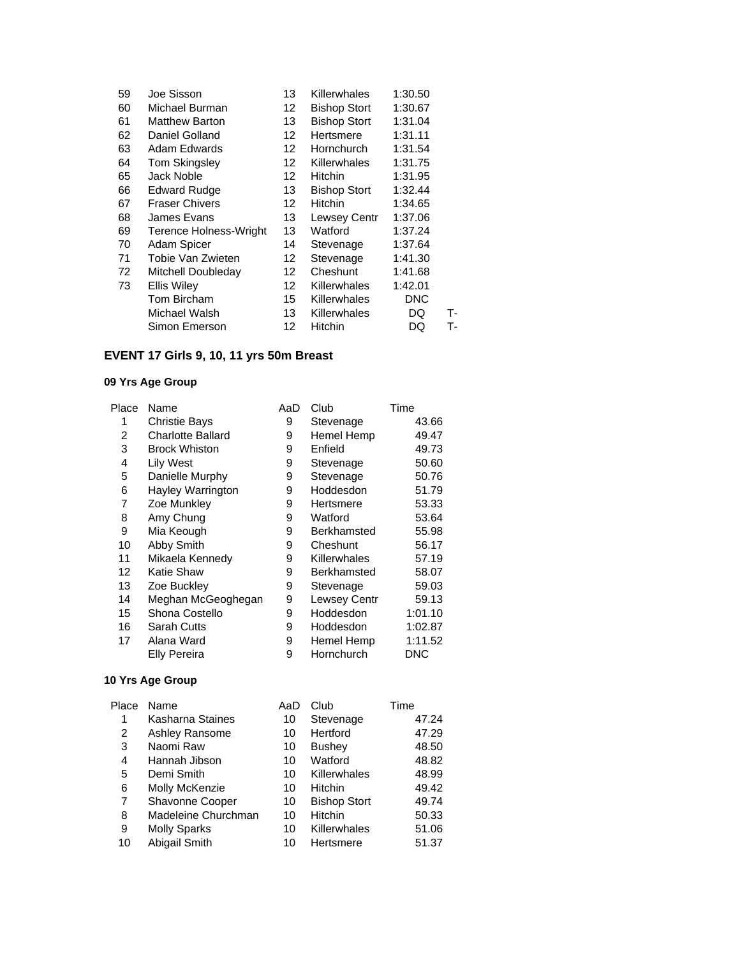| 59 | Joe Sisson                    | 13                | Killerwhales        | 1:30.50    |    |
|----|-------------------------------|-------------------|---------------------|------------|----|
| 60 | Michael Burman                | $12 \overline{ }$ | <b>Bishop Stort</b> | 1:30.67    |    |
| 61 | <b>Matthew Barton</b>         | 13                | <b>Bishop Stort</b> | 1:31.04    |    |
| 62 | Daniel Golland                | 12 <sup>12</sup>  | Hertsmere           | 1:31.11    |    |
| 63 | Adam Edwards                  | 12 <sup>12</sup>  | Hornchurch          | 1:31.54    |    |
| 64 | Tom Skingsley                 | 12 <sup>2</sup>   | <b>Killerwhales</b> | 1:31.75    |    |
| 65 | Jack Noble                    | 12                | Hitchin             | 1:31.95    |    |
| 66 | <b>Edward Rudge</b>           | 13                | <b>Bishop Stort</b> | 1:32.44    |    |
| 67 | <b>Fraser Chivers</b>         | 12                | <b>Hitchin</b>      | 1:34.65    |    |
| 68 | James Evans                   | 13                | <b>Lewsey Centr</b> | 1:37.06    |    |
| 69 | <b>Terence Holness-Wright</b> | 13                | Watford             | 1:37.24    |    |
| 70 | Adam Spicer                   | 14                | Stevenage           | 1:37.64    |    |
| 71 | Tobie Van Zwieten             | 12                | Stevenage           | 1:41.30    |    |
| 72 | Mitchell Doubleday            | 12                | Cheshunt            | 1:41.68    |    |
| 73 | <b>Ellis Wiley</b>            | 12                | <b>Killerwhales</b> | 1:42.01    |    |
|    | Tom Bircham                   | 15                | <b>Killerwhales</b> | <b>DNC</b> |    |
|    | Michael Walsh                 | 13.               | Killerwhales        | DQ         | т- |
|    | Simon Emerson                 | 12                | Hitchin             | DQ         | т. |
|    |                               |                   |                     |            |    |

# **EVENT 17 Girls 9, 10, 11 yrs 50m Breast**

### **09 Yrs Age Group**

| Place | Name                     | AaD | Club               | Time    |
|-------|--------------------------|-----|--------------------|---------|
|       | <b>Christie Bays</b>     | 9   | Stevenage          | 43.66   |
| 2     | <b>Charlotte Ballard</b> | 9   | Hemel Hemp         | 49.47   |
| 3     | <b>Brock Whiston</b>     | 9   | Enfield            | 49.73   |
| 4     | <b>Lily West</b>         | 9   | Stevenage          | 50.60   |
| 5     | Danielle Murphy          | 9   | Stevenage          | 50.76   |
| 6     | Hayley Warrington        | 9   | Hoddesdon          | 51.79   |
| 7     | Zoe Munkley              | 9   | Hertsmere          | 53.33   |
| 8     | Amy Chung                | 9   | Watford            | 53.64   |
| 9     | Mia Keough               | 9   | <b>Berkhamsted</b> | 55.98   |
| 10    | Abby Smith               | 9   | Cheshunt           | 56.17   |
| 11    | Mikaela Kennedy          | 9   | Killerwhales       | 57.19   |
| 12    | Katie Shaw               | 9   | <b>Berkhamsted</b> | 58.07   |
| 13    | Zoe Buckley              | 9   | Stevenage          | 59.03   |
| 14    | Meghan McGeoghegan       | 9   | Lewsey Centr       | 59.13   |
| 15    | Shona Costello           | 9   | Hoddesdon          | 1:01.10 |
| 16    | <b>Sarah Cutts</b>       | 9   | Hoddesdon          | 1:02.87 |
| 17    | Alana Ward               | 9   | Hemel Hemp         | 1:11.52 |
|       | <b>Elly Pereira</b>      | 9   | Hornchurch         | DNC     |

| Place | Name                   | AaD | Club                | Time  |
|-------|------------------------|-----|---------------------|-------|
| 1     | Kasharna Staines       | 10  | Stevenage           | 47.24 |
| 2     | Ashley Ransome         | 10  | Hertford            | 47.29 |
| 3     | Naomi Raw              | 10  | <b>Bushey</b>       | 48.50 |
| 4     | Hannah Jibson          | 10  | Watford             | 48.82 |
| 5     | Demi Smith             | 10  | Killerwhales        | 48.99 |
| 6     | Molly McKenzie         | 10  | <b>Hitchin</b>      | 49.42 |
| 7     | <b>Shavonne Cooper</b> | 10  | <b>Bishop Stort</b> | 49.74 |
| 8     | Madeleine Churchman    | 10  | Hitchin             | 50.33 |
| 9     | <b>Molly Sparks</b>    | 10  | Killerwhales        | 51.06 |
| 10    | Abigail Smith          | 10  | Hertsmere           | 51.37 |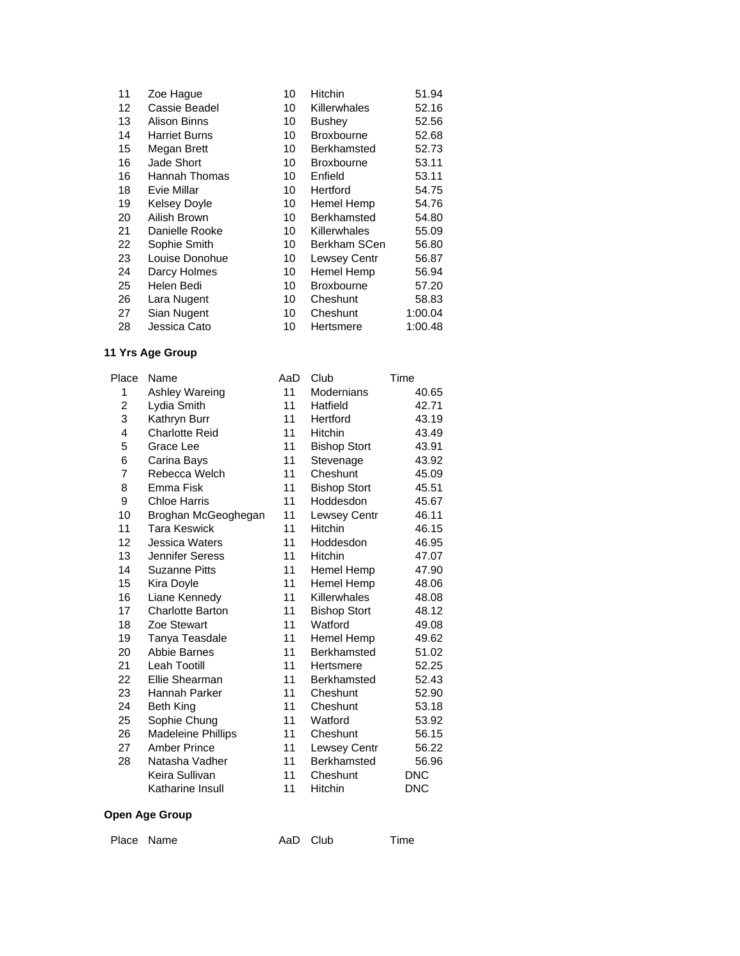| 11 | Zoe Hague            | 10 | Hitchin             | 51.94   |
|----|----------------------|----|---------------------|---------|
| 12 | Cassie Beadel        | 10 | Killerwhales        | 52.16   |
| 13 | Alison Binns         | 10 | <b>Bushey</b>       | 52.56   |
| 14 | <b>Harriet Burns</b> | 10 | <b>Broxbourne</b>   | 52.68   |
| 15 | Megan Brett          | 10 | Berkhamsted         | 52.73   |
| 16 | Jade Short           | 10 | <b>Broxbourne</b>   | 53.11   |
| 16 | Hannah Thomas        | 10 | Enfield             | 53.11   |
| 18 | Evie Millar          | 10 | Hertford            | 54.75   |
| 19 | <b>Kelsey Doyle</b>  | 10 | Hemel Hemp          | 54.76   |
| 20 | Ailish Brown         | 10 | <b>Berkhamsted</b>  | 54.80   |
| 21 | Danielle Rooke       | 10 | Killerwhales        | 55.09   |
| 22 | Sophie Smith         | 10 | <b>Berkham SCen</b> | 56.80   |
| 23 | Louise Donohue       | 10 | <b>Lewsey Centr</b> | 56.87   |
| 24 | Darcy Holmes         | 10 | Hemel Hemp          | 56.94   |
| 25 | Helen Bedi           | 10 | <b>Broxbourne</b>   | 57.20   |
| 26 | Lara Nugent          | 10 | Cheshunt            | 58.83   |
| 27 | Sian Nugent          | 10 | Cheshunt            | 1:00.04 |
| 28 | Jessica Cato         | 10 | Hertsmere           | 1:00.48 |

| Place | Name                      | AaD | Club                | Time       |
|-------|---------------------------|-----|---------------------|------------|
| 1     | Ashley Wareing            | 11  | Modernians          | 40.65      |
| 2     | Lydia Smith               | 11  | Hatfield            | 42.71      |
| 3     | Kathryn Burr              | 11  | Hertford            | 43.19      |
| 4     | <b>Charlotte Reid</b>     | 11  | Hitchin             | 43.49      |
| 5     | Grace Lee                 | 11  | <b>Bishop Stort</b> | 43.91      |
| 6     | Carina Bays               | 11  | Stevenage           | 43.92      |
| 7     | Rebecca Welch             | 11  | Cheshunt            | 45.09      |
| 8     | Emma Fisk                 | 11  | <b>Bishop Stort</b> | 45.51      |
| 9     | <b>Chloe Harris</b>       | 11  | Hoddesdon           | 45.67      |
| 10    | Broghan McGeoghegan       | 11  | <b>Lewsey Centr</b> | 46.11      |
| 11    | <b>Tara Keswick</b>       | 11  | <b>Hitchin</b>      | 46.15      |
| 12    | Jessica Waters            | 11  | Hoddesdon           | 46.95      |
| 13    | Jennifer Seress           | 11  | <b>Hitchin</b>      | 47.07      |
| 14    | <b>Suzanne Pitts</b>      | 11  | Hemel Hemp          | 47.90      |
| 15    | Kira Doyle                | 11  | Hemel Hemp          | 48.06      |
| 16    | Liane Kennedy             | 11  | Killerwhales        | 48.08      |
| 17    | <b>Charlotte Barton</b>   | 11  | <b>Bishop Stort</b> | 48.12      |
| 18    | Zoe Stewart               | 11  | Watford             | 49.08      |
| 19    | Tanya Teasdale            | 11  | <b>Hemel Hemp</b>   | 49.62      |
| 20    | Abbie Barnes              | 11  | Berkhamsted         | 51.02      |
| 21    | <b>Leah Tootill</b>       | 11  | Hertsmere           | 52.25      |
| 22    | Ellie Shearman            | 11  | Berkhamsted         | 52.43      |
| 23    | Hannah Parker             | 11  | Cheshunt            | 52.90      |
| 24    | <b>Beth King</b>          | 11  | Cheshunt            | 53.18      |
| 25    | Sophie Chung              | 11  | Watford             | 53.92      |
| 26    | <b>Madeleine Phillips</b> | 11  | Cheshunt            | 56.15      |
| 27    | <b>Amber Prince</b>       | 11  | Lewsey Centr        | 56.22      |
| 28    | Natasha Vadher            | 11  | Berkhamsted         | 56.96      |
|       | Keira Sullivan            | 11  | Cheshunt            | <b>DNC</b> |
|       | Katharine Insull          | 11  | Hitchin             | <b>DNC</b> |
|       |                           |     |                     |            |

### **Open Age Group**

Place Name **AaD** Club Time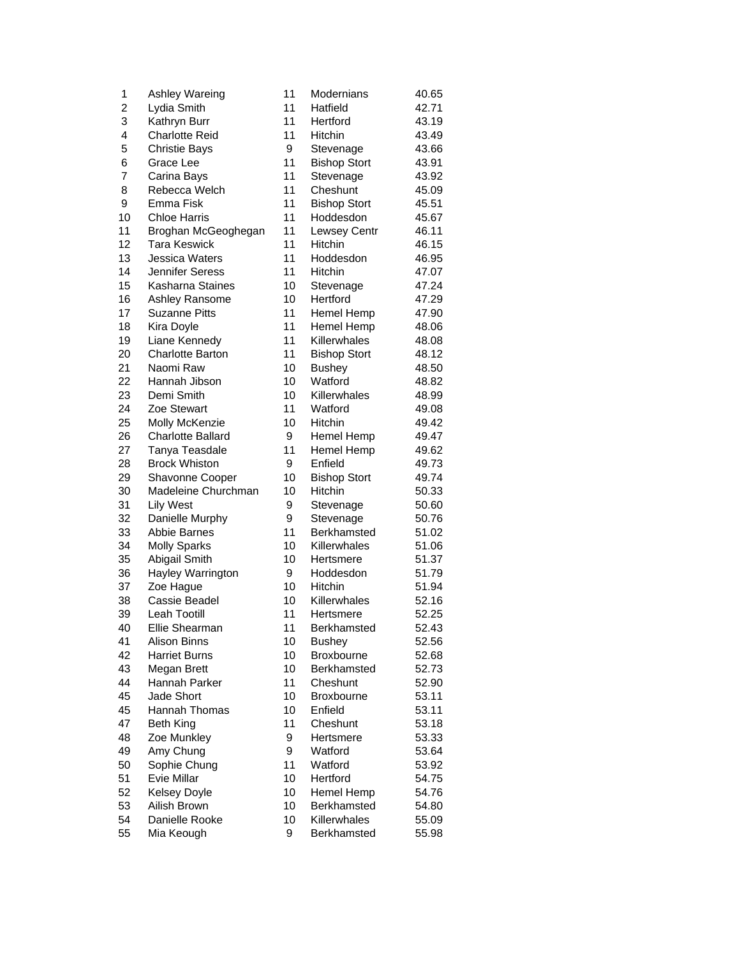| 1                       | Ashley Wareing           | 11 | Modernians          | 40.65 |
|-------------------------|--------------------------|----|---------------------|-------|
| $\overline{\mathbf{c}}$ | Lydia Smith              | 11 | Hatfield            | 42.71 |
| 3                       | Kathryn Burr             | 11 | Hertford            | 43.19 |
| 4                       | <b>Charlotte Reid</b>    | 11 | Hitchin             | 43.49 |
| 5                       | <b>Christie Bays</b>     | 9  | Stevenage           | 43.66 |
| 6                       | Grace Lee                | 11 | <b>Bishop Stort</b> | 43.91 |
| 7                       | Carina Bays              | 11 | Stevenage           | 43.92 |
| 8                       | Rebecca Welch            | 11 | Cheshunt            | 45.09 |
| 9                       | Emma Fisk                | 11 | <b>Bishop Stort</b> | 45.51 |
| 10                      | <b>Chloe Harris</b>      | 11 | Hoddesdon           | 45.67 |
| 11                      | Broghan McGeoghegan      | 11 | Lewsey Centr        | 46.11 |
| 12                      | <b>Tara Keswick</b>      | 11 | Hitchin             | 46.15 |
| 13                      | Jessica Waters           | 11 | Hoddesdon           | 46.95 |
| 14                      | <b>Jennifer Seress</b>   | 11 | <b>Hitchin</b>      | 47.07 |
| 15                      | Kasharna Staines         | 10 | Stevenage           | 47.24 |
| 16                      | Ashley Ransome           | 10 | Hertford            | 47.29 |
| 17                      | <b>Suzanne Pitts</b>     | 11 | Hemel Hemp          | 47.90 |
| 18                      | Kira Doyle               | 11 | Hemel Hemp          | 48.06 |
| 19                      | Liane Kennedy            | 11 | Killerwhales        | 48.08 |
| 20                      | <b>Charlotte Barton</b>  | 11 | <b>Bishop Stort</b> | 48.12 |
| 21                      | Naomi Raw                | 10 | <b>Bushey</b>       | 48.50 |
| 22                      | Hannah Jibson            | 10 | Watford             | 48.82 |
| 23                      | Demi Smith               | 10 | Killerwhales        | 48.99 |
| 24                      | Zoe Stewart              | 11 | Watford             | 49.08 |
| 25                      | Molly McKenzie           | 10 | Hitchin             | 49.42 |
| 26                      | <b>Charlotte Ballard</b> | 9  | Hemel Hemp          | 49.47 |
| 27                      | Tanya Teasdale           | 11 | Hemel Hemp          | 49.62 |
| 28                      | <b>Brock Whiston</b>     | 9  | Enfield             | 49.73 |
| 29                      | Shavonne Cooper          | 10 | <b>Bishop Stort</b> | 49.74 |
| 30                      | Madeleine Churchman      | 10 | Hitchin             | 50.33 |
| 31                      | <b>Lily West</b>         | 9  | Stevenage           | 50.60 |
| 32                      | Danielle Murphy          | 9  | Stevenage           | 50.76 |
| 33                      | <b>Abbie Barnes</b>      | 11 | Berkhamsted         | 51.02 |
| 34                      | <b>Molly Sparks</b>      | 10 | Killerwhales        | 51.06 |
| 35                      | Abigail Smith            | 10 | Hertsmere           | 51.37 |
| 36                      | Hayley Warrington        | 9  | Hoddesdon           | 51.79 |
| 37                      | Zoe Hague                | 10 | Hitchin             | 51.94 |
| 38                      | Cassie Beadel            | 10 | Killerwhales        | 52.16 |
| 39                      | Leah Tootill             | 11 | Hertsmere           | 52.25 |
| 40                      | Ellie Shearman           | 11 | Berkhamsted         | 52.43 |
| 41                      | Alison Binns             | 10 | <b>Bushey</b>       | 52.56 |
| 42                      | <b>Harriet Burns</b>     | 10 | Broxbourne          | 52.68 |
| 43                      | Megan Brett              | 10 | Berkhamsted         | 52.73 |
| 44                      | Hannah Parker            | 11 | Cheshunt            | 52.90 |
| 45                      | Jade Short               | 10 | <b>Broxbourne</b>   | 53.11 |
| 45                      | Hannah Thomas            | 10 | Enfield             | 53.11 |
| 47                      | <b>Beth King</b>         | 11 | Cheshunt            | 53.18 |
| 48                      | Zoe Munkley              | 9  | Hertsmere           | 53.33 |
| 49                      | Amy Chung                | 9  | Watford             | 53.64 |
| 50                      | Sophie Chung             | 11 | Watford             | 53.92 |
| 51                      | Evie Millar              | 10 | Hertford            | 54.75 |
| 52                      | <b>Kelsey Doyle</b>      | 10 | Hemel Hemp          | 54.76 |
| 53                      | Ailish Brown             | 10 | <b>Berkhamsted</b>  | 54.80 |
| 54                      | Danielle Rooke           | 10 | Killerwhales        | 55.09 |
| 55                      | Mia Keough               | 9  | Berkhamsted         | 55.98 |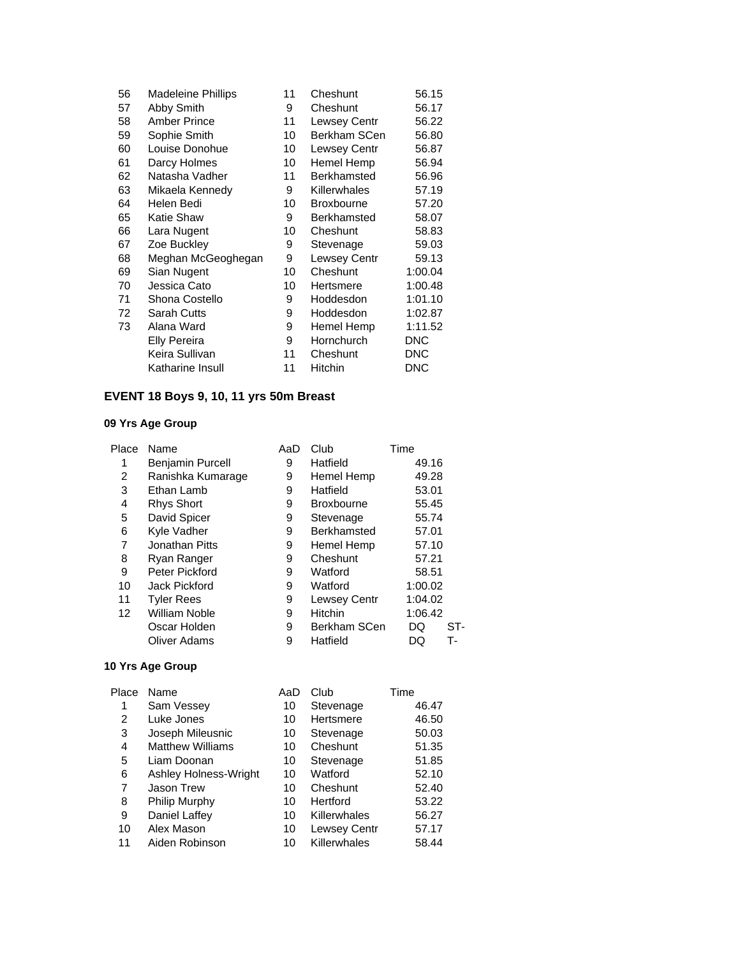| 56 | <b>Madeleine Phillips</b> | 11 | Cheshunt          | 56.15      |
|----|---------------------------|----|-------------------|------------|
| 57 | Abby Smith                | 9  | Cheshunt          | 56.17      |
| 58 | <b>Amber Prince</b>       | 11 | Lewsey Centr      | 56.22      |
| 59 | Sophie Smith              | 10 | Berkham SCen      | 56.80      |
| 60 | Louise Donohue            | 10 | Lewsey Centr      | 56.87      |
| 61 | Darcy Holmes              | 10 | Hemel Hemp        | 56.94      |
| 62 | Natasha Vadher            | 11 | Berkhamsted       | 56.96      |
| 63 | Mikaela Kennedy           | 9  | Killerwhales      | 57.19      |
| 64 | Helen Bedi                | 10 | <b>Broxbourne</b> | 57.20      |
| 65 | Katie Shaw                | 9  | Berkhamsted       | 58.07      |
| 66 | Lara Nugent               | 10 | Cheshunt          | 58.83      |
| 67 | Zoe Buckley               | 9  | Stevenage         | 59.03      |
| 68 | Meghan McGeoghegan        | 9  | Lewsey Centr      | 59.13      |
| 69 | Sian Nugent               | 10 | Cheshunt          | 1:00.04    |
| 70 | Jessica Cato              | 10 | Hertsmere         | 1:00.48    |
| 71 | Shona Costello            | 9  | Hoddesdon         | 1:01.10    |
| 72 | <b>Sarah Cutts</b>        | 9  | Hoddesdon         | 1:02.87    |
| 73 | Alana Ward                | 9  | Hemel Hemp        | 1:11.52    |
|    | <b>Elly Pereira</b>       | 9  | Hornchurch        | <b>DNC</b> |
|    | Keira Sullivan            | 11 | Cheshunt          | <b>DNC</b> |
|    | Katharine Insull          | 11 | <b>Hitchin</b>    | DNC        |

# **EVENT 18 Boys 9, 10, 11 yrs 50m Breast**

### **09 Yrs Age Group**

| Place | Name                    | AaD | Club              | Time      |
|-------|-------------------------|-----|-------------------|-----------|
| 1     | <b>Benjamin Purcell</b> | 9   | Hatfield          | 49.16     |
| 2     | Ranishka Kumarage       | 9   | Hemel Hemp        | 49.28     |
| 3     | Ethan Lamb              | 9   | Hatfield          | 53.01     |
| 4     | <b>Rhys Short</b>       | 9   | <b>Broxbourne</b> | 55.45     |
| 5     | David Spicer            | 9   | Stevenage         | 55.74     |
| 6     | Kyle Vadher             | 9   | Berkhamsted       | 57.01     |
| 7     | Jonathan Pitts          | 9   | Hemel Hemp        | 57.10     |
| 8     | Ryan Ranger             | 9   | Cheshunt          | 57.21     |
| 9     | Peter Pickford          | 9   | Watford           | 58.51     |
| 10    | Jack Pickford           | 9   | Watford           | 1:00.02   |
| 11    | <b>Tyler Rees</b>       | 9   | Lewsey Centr      | 1:04.02   |
| 12    | William Noble           | 9   | <b>Hitchin</b>    | 1:06.42   |
|       | Oscar Holden            | 9   | Berkham SCen      | ST-<br>DQ |
|       | <b>Oliver Adams</b>     | 9   | Hatfield          | т-<br>DQ  |

| Place | Name                    | AaD | Club                | Time  |
|-------|-------------------------|-----|---------------------|-------|
| 1     | Sam Vessey              | 10  | Stevenage           | 46.47 |
| 2     | Luke Jones              | 10  | Hertsmere           | 46.50 |
| 3     | Joseph Mileusnic        | 10  | Stevenage           | 50.03 |
| 4     | <b>Matthew Williams</b> | 10  | Cheshunt            | 51.35 |
| 5     | Liam Doonan             | 10  | Stevenage           | 51.85 |
| 6     | Ashley Holness-Wright   | 10  | Watford             | 52.10 |
| 7     | <b>Jason Trew</b>       | 10  | Cheshunt            | 52.40 |
| 8     | Philip Murphy           | 10  | Hertford            | 53.22 |
| 9     | Daniel Laffey           | 10  | Killerwhales        | 56.27 |
| 10    | Alex Mason              | 10  | <b>Lewsey Centr</b> | 57.17 |
| 11    | Aiden Robinson          | 10  | Killerwhales        | 58.44 |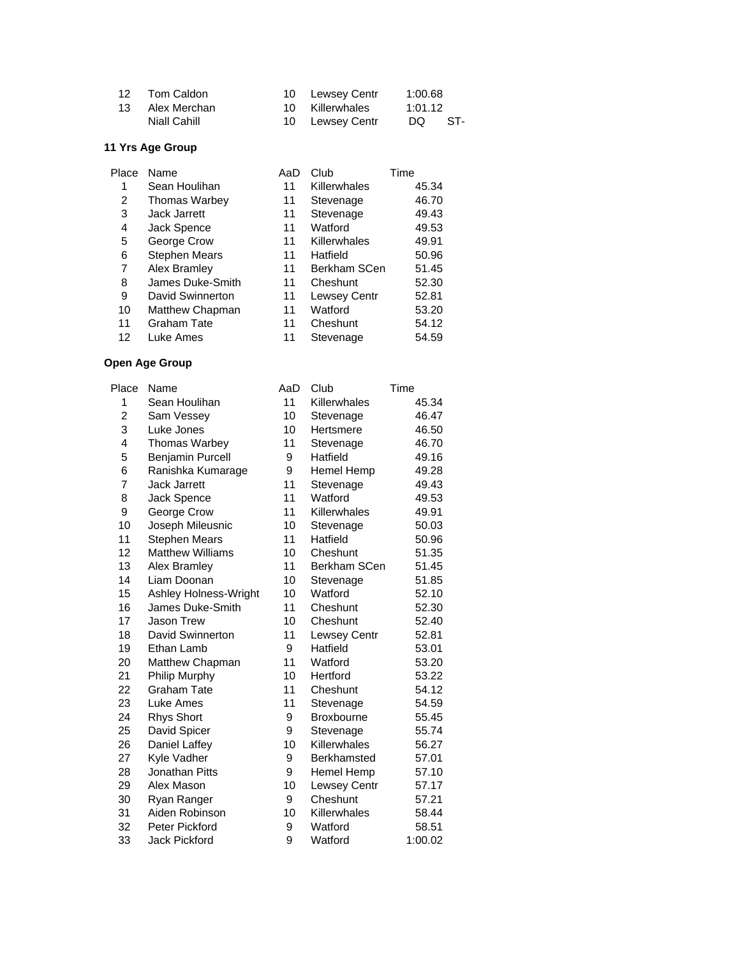| 12 | Tom Caldon      | 10 Lewsey Centr | 1:00.68 |      |
|----|-----------------|-----------------|---------|------|
|    | 13 Alex Merchan | 10 Killerwhales | 1:01.12 |      |
|    | Niall Cahill    | 10 Lewsey Centr | DQ —    | -ST- |

| Name                 | AaD | Club                | Time  |
|----------------------|-----|---------------------|-------|
| Sean Houlihan        | 11  | Killerwhales        | 45.34 |
| <b>Thomas Warbey</b> | 11  | Stevenage           | 46.70 |
| Jack Jarrett         | 11  | Stevenage           | 49.43 |
| Jack Spence          | 11  | Watford             | 49.53 |
| George Crow          | 11  | Killerwhales        | 49.91 |
| <b>Stephen Mears</b> | 11  | Hatfield            | 50.96 |
| Alex Bramley         | 11  | Berkham SCen        | 51.45 |
| James Duke-Smith     | 11  | Cheshunt            | 52.30 |
| David Swinnerton     | 11  | <b>Lewsey Centr</b> | 52.81 |
| Matthew Chapman      | 11  | Watford             | 53.20 |
| <b>Graham Tate</b>   | 11  | Cheshunt            | 54.12 |
| Luke Ames            | 11  | Stevenage           | 54.59 |
|                      |     |                     |       |

| Place | Name                    | AaD | Club               | Time    |
|-------|-------------------------|-----|--------------------|---------|
| 1     | Sean Houlihan           | 11  | Killerwhales       | 45.34   |
| 2     | Sam Vessey              | 10  | Stevenage          | 46.47   |
| 3     | Luke Jones              | 10  | Hertsmere          | 46.50   |
| 4     | Thomas Warbey           | 11  | Stevenage          | 46.70   |
| 5     | <b>Benjamin Purcell</b> | 9   | Hatfield           | 49.16   |
| 6     | Ranishka Kumarage       | 9   | Hemel Hemp         | 49.28   |
| 7     | Jack Jarrett            | 11  | Stevenage          | 49.43   |
| 8     | Jack Spence             | 11  | Watford            | 49.53   |
| 9     | George Crow             | 11  | Killerwhales       | 49.91   |
| 10    | Joseph Mileusnic        | 10  | Stevenage          | 50.03   |
| 11    | <b>Stephen Mears</b>    | 11  | Hatfield           | 50.96   |
| 12    | <b>Matthew Williams</b> | 10  | Cheshunt           | 51.35   |
| 13    | Alex Bramley            | 11  | Berkham SCen       | 51.45   |
| 14    | Liam Doonan             | 10  | Stevenage          | 51.85   |
| 15    | Ashley Holness-Wright   | 10  | Watford            | 52.10   |
| 16    | James Duke-Smith        | 11  | Cheshunt           | 52.30   |
| 17    | Jason Trew              | 10  | Cheshunt           | 52.40   |
| 18    | David Swinnerton        | 11  | Lewsey Centr       | 52.81   |
| 19    | Ethan Lamb              | 9   | Hatfield           | 53.01   |
| 20    | Matthew Chapman         | 11  | Watford            | 53.20   |
| 21    | Philip Murphy           | 10  | Hertford           | 53.22   |
| 22    | <b>Graham Tate</b>      | 11  | Cheshunt           | 54.12   |
| 23    | Luke Ames               | 11  | Stevenage          | 54.59   |
| 24    | <b>Rhys Short</b>       | 9   | <b>Broxbourne</b>  | 55.45   |
| 25    | David Spicer            | 9   | Stevenage          | 55.74   |
| 26    | Daniel Laffey           | 10  | Killerwhales       | 56.27   |
| 27    | Kyle Vadher             | 9   | <b>Berkhamsted</b> | 57.01   |
| 28    | Jonathan Pitts          | 9   | Hemel Hemp         | 57.10   |
| 29    | Alex Mason              | 10  | Lewsey Centr       | 57.17   |
| 30    | Ryan Ranger             | 9   | Cheshunt           | 57.21   |
| 31    | Aiden Robinson          | 10  | Killerwhales       | 58.44   |
| 32    | Peter Pickford          | 9   | Watford            | 58.51   |
| 33    | <b>Jack Pickford</b>    | 9   | Watford            | 1:00.02 |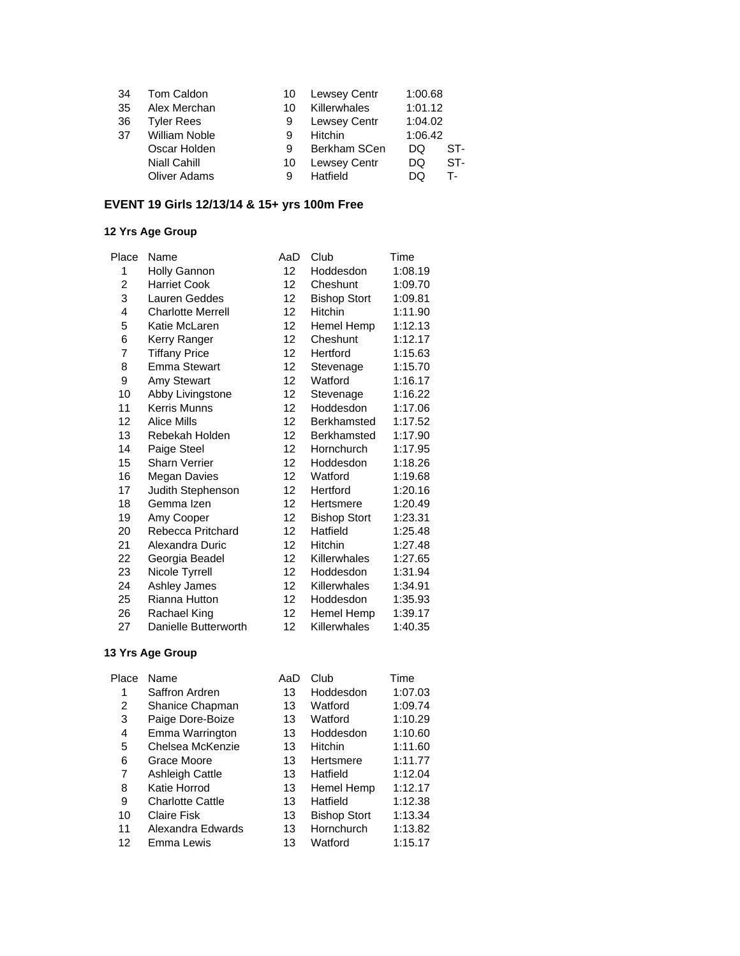| 34  | Tom Caldon           | 10 | <b>Lewsey Centr</b> | 1:00.68 |     |
|-----|----------------------|----|---------------------|---------|-----|
| 35  | Alex Merchan         | 10 | <b>Killerwhales</b> | 1:01.12 |     |
| -36 | <b>Tyler Rees</b>    | 9  | <b>Lewsey Centr</b> | 1:04.02 |     |
| -37 | <b>William Noble</b> | 9  | Hitchin             | 1:06.42 |     |
|     | Oscar Holden         | 9  | Berkham SCen        | DQ      | ST- |
|     | <b>Niall Cahill</b>  | 10 | <b>Lewsey Centr</b> | DQ      | ST- |
|     | <b>Oliver Adams</b>  | 9  | Hatfield            | DQ      | т.  |
|     |                      |    |                     |         |     |

### **EVENT 19 Girls 12/13/14 & 15+ yrs 100m Free**

### **12 Yrs Age Group**

| Place | Name                     | AaD | Club                | Time    |
|-------|--------------------------|-----|---------------------|---------|
| 1     | <b>Holly Gannon</b>      | 12  | Hoddesdon           | 1:08.19 |
| 2     | <b>Harriet Cook</b>      | 12  | Cheshunt            | 1:09.70 |
| 3     | Lauren Geddes            | 12  | <b>Bishop Stort</b> | 1:09.81 |
| 4     | <b>Charlotte Merrell</b> | 12  | Hitchin             | 1:11.90 |
| 5     | Katie McLaren            | 12  | Hemel Hemp          | 1:12.13 |
| 6     | Kerry Ranger             | 12  | Cheshunt            | 1:12.17 |
| 7     | <b>Tiffany Price</b>     | 12  | Hertford            | 1:15.63 |
| 8     | <b>Emma Stewart</b>      | 12  | Stevenage           | 1:15.70 |
| 9     | Amy Stewart              | 12  | Watford             | 1:16.17 |
| 10    | Abby Livingstone         | 12  | Stevenage           | 1:16.22 |
| 11    | <b>Kerris Munns</b>      | 12  | Hoddesdon           | 1:17.06 |
| 12    | Alice Mills              | 12  | Berkhamsted         | 1:17.52 |
| 13    | Rebekah Holden           | 12  | Berkhamsted         | 1:17.90 |
| 14    | Paige Steel              | 12  | Hornchurch          | 1:17.95 |
| 15    | <b>Sharn Verrier</b>     | 12  | Hoddesdon           | 1:18.26 |
| 16    | <b>Megan Davies</b>      | 12  | Watford             | 1:19.68 |
| 17    | Judith Stephenson        | 12  | Hertford            | 1:20.16 |
| 18    | Gemma Izen               | 12  | Hertsmere           | 1:20.49 |
| 19    | Amy Cooper               | 12  | <b>Bishop Stort</b> | 1:23.31 |
| 20    | Rebecca Pritchard        | 12  | Hatfield            | 1:25.48 |
| 21    | Alexandra Duric          | 12  | Hitchin             | 1:27.48 |
| 22    | Georgia Beadel           | 12  | Killerwhales        | 1:27.65 |
| 23    | Nicole Tyrrell           | 12  | Hoddesdon           | 1:31.94 |
| 24    | Ashley James             | 12  | Killerwhales        | 1:34.91 |
| 25    | Rianna Hutton            | 12  | Hoddesdon           | 1:35.93 |
| 26    | Rachael King             | 12  | Hemel Hemp          | 1:39.17 |
| 27    | Danielle Butterworth     | 12  | Killerwhales        | 1:40.35 |
|       |                          |     |                     |         |

| Place | Name                    | AaD | Club                | Time    |
|-------|-------------------------|-----|---------------------|---------|
| 1     | Saffron Ardren          | 13  | Hoddesdon           | 1:07.03 |
| 2     | Shanice Chapman         | 13  | Watford             | 1:09.74 |
| 3     | Paige Dore-Boize        | 13  | Watford             | 1:10.29 |
| 4     | Emma Warrington         | 13  | Hoddesdon           | 1:10.60 |
| 5     | Chelsea McKenzie        | 13  | <b>Hitchin</b>      | 1:11.60 |
| 6     | Grace Moore             | 13  | Hertsmere           | 1:11.77 |
| 7     | <b>Ashleigh Cattle</b>  | 13  | Hatfield            | 1:12.04 |
| 8     | Katie Horrod            | 13  | Hemel Hemp          | 1:12.17 |
| 9     | <b>Charlotte Cattle</b> | 13  | Hatfield            | 1:12.38 |
| 10    | <b>Claire Fisk</b>      | 13  | <b>Bishop Stort</b> | 1:13.34 |
| 11    | Alexandra Edwards       | 13  | Hornchurch          | 1:13.82 |
| 12    | Emma Lewis              | 13  | Watford             | 1:15.17 |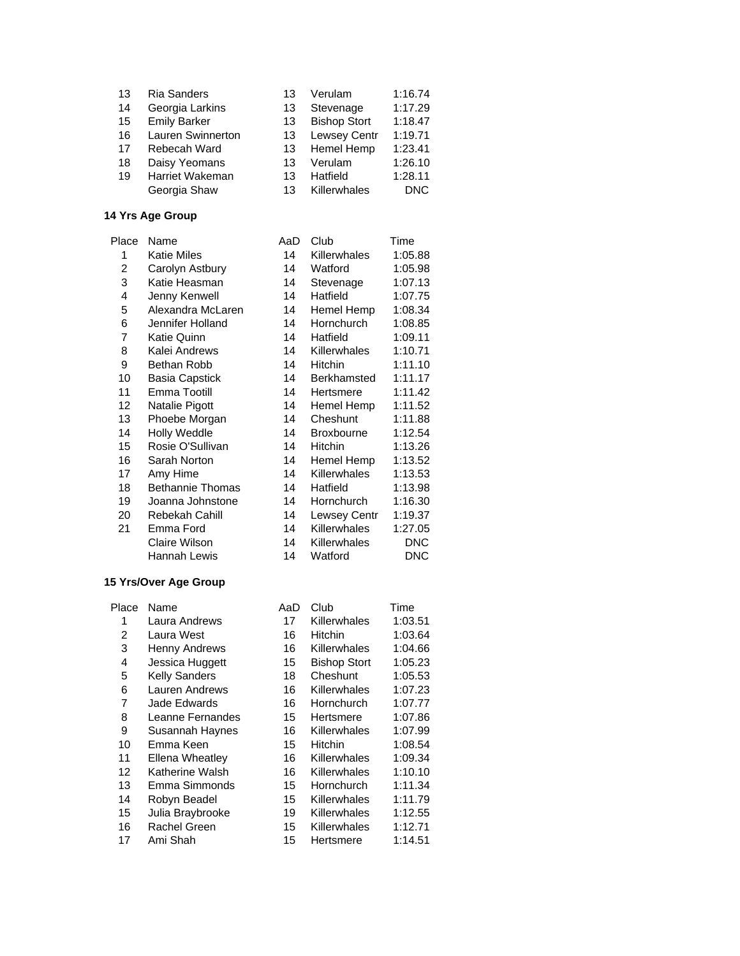| 13 | <b>Ria Sanders</b>       | 13 | Verulam             | 1:16.74    |
|----|--------------------------|----|---------------------|------------|
| 14 | Georgia Larkins          | 13 | Stevenage           | 1:17.29    |
| 15 | <b>Emily Barker</b>      | 13 | <b>Bishop Stort</b> | 1:18.47    |
| 16 | <b>Lauren Swinnerton</b> | 13 | <b>Lewsey Centr</b> | 1:19.71    |
| 17 | Rebecah Ward             | 13 | Hemel Hemp          | 1:23.41    |
| 18 | Daisy Yeomans            | 13 | Verulam             | 1:26.10    |
| 19 | Harriet Wakeman          | 13 | Hatfield            | 1:28.11    |
|    | Georgia Shaw             | 13 | Killerwhales        | <b>DNC</b> |
|    |                          |    |                     |            |

| Place | Name                    | AaD | Club                | Time       |
|-------|-------------------------|-----|---------------------|------------|
| 1     | Katie Miles             | 14  | Killerwhales        | 1:05.88    |
| 2     | Carolyn Astbury         | 14  | Watford             | 1:05.98    |
| 3     | Katie Heasman           | 14  | Stevenage           | 1:07.13    |
| 4     | Jenny Kenwell           | 14  | Hatfield            | 1:07.75    |
| 5     | Alexandra McLaren       | 14  | Hemel Hemp          | 1:08.34    |
| 6     | Jennifer Holland        | 14  | Hornchurch          | 1:08.85    |
| 7     | Katie Quinn             | 14  | Hatfield            | 1:09.11    |
| 8     | Kalei Andrews           | 14  | Killerwhales        | 1:10.71    |
| 9     | Bethan Robb             | 14  | <b>Hitchin</b>      | 1:11.10    |
| 10    | Basia Capstick          | 14  | Berkhamsted         | 1:11.17    |
| 11    | Emma Tootill            | 14  | Hertsmere           | 1:11.42    |
| 12    | Natalie Pigott          | 14  | Hemel Hemp          | 1:11.52    |
| 13    | Phoebe Morgan           | 14  | Cheshunt            | 1:11.88    |
| 14    | <b>Holly Weddle</b>     | 14  | <b>Broxbourne</b>   | 1:12.54    |
| 15    | Rosie O'Sullivan        | 14  | <b>Hitchin</b>      | 1:13.26    |
| 16    | Sarah Norton            | 14  | Hemel Hemp          | 1:13.52    |
| 17    | Amy Hime                | 14  | <b>Killerwhales</b> | 1:13.53    |
| 18    | <b>Bethannie Thomas</b> | 14  | Hatfield            | 1:13.98    |
| 19    | Joanna Johnstone        | 14  | <b>Hornchurch</b>   | 1:16.30    |
| 20    | Rebekah Cahill          | 14  | Lewsey Centr        | 1:19.37    |
| 21    | Emma Ford               | 14  | Killerwhales        | 1:27.05    |
|       | Claire Wilson           | 14  | Killerwhales        | <b>DNC</b> |
|       | Hannah Lewis            | 14  | Watford             | DNC        |
|       |                         |     |                     |            |

### **15 Yrs/Over Age Group**

| Place | Name                 | AaD | Club                | Time    |
|-------|----------------------|-----|---------------------|---------|
| 1     | Laura Andrews        | 17  | Killerwhales        | 1:03.51 |
| 2     | Laura West           | 16  | Hitchin             | 1:03.64 |
| 3     | <b>Henny Andrews</b> | 16  | Killerwhales        | 1:04.66 |
| 4     | Jessica Huggett      | 15  | <b>Bishop Stort</b> | 1:05.23 |
| 5     | <b>Kelly Sanders</b> | 18  | Cheshunt            | 1:05.53 |
| 6     | Lauren Andrews       | 16  | Killerwhales        | 1:07.23 |
| 7     | Jade Edwards         | 16  | Hornchurch          | 1:07.77 |
| 8     | Leanne Fernandes     | 15  | Hertsmere           | 1:07.86 |
| 9     | Susannah Haynes      | 16  | Killerwhales        | 1:07.99 |
| 10    | Emma Keen            | 15  | Hitchin             | 1:08.54 |
| 11    | Ellena Wheatley      | 16  | Killerwhales        | 1:09.34 |
| 12    | Katherine Walsh      | 16  | Killerwhales        | 1:10.10 |
| 13    | Emma Simmonds        | 15  | Hornchurch          | 1:11.34 |
| 14    | Robyn Beadel         | 15  | Killerwhales        | 1:11.79 |
| 15    | Julia Braybrooke     | 19  | Killerwhales        | 1:12.55 |
| 16    | Rachel Green         | 15  | Killerwhales        | 1:12.71 |
| 17    | Ami Shah             | 15  | Hertsmere           | 1:14.51 |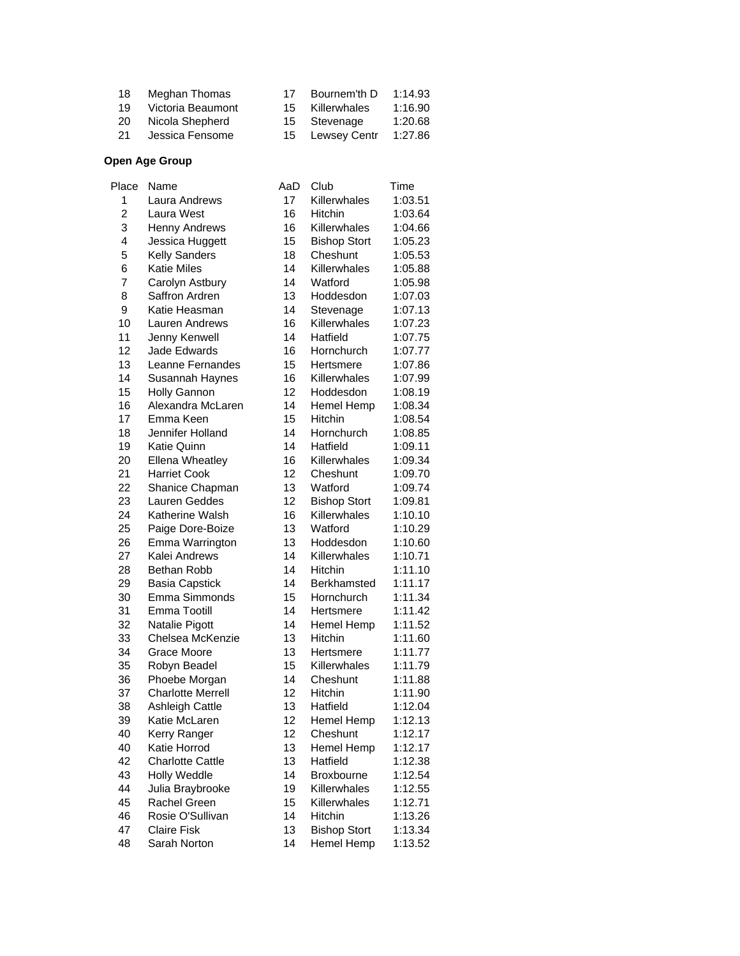| 18  | Meghan Thomas     | -17 | Bournem'th D | 1:14.93 |
|-----|-------------------|-----|--------------|---------|
| 19  | Victoria Beaumont | 15. | Killerwhales | 1:16.90 |
| 20  | Nicola Shepherd   |     | 15 Stevenage | 1:20.68 |
| -21 | Jessica Fensome   | 15  | Lewsey Centr | 1:27.86 |

| Place          | Name                     | AaD | Club                | Time    |
|----------------|--------------------------|-----|---------------------|---------|
| 1              | Laura Andrews            | 17  | Killerwhales        | 1:03.51 |
| $\overline{c}$ | Laura West               | 16  | Hitchin             | 1:03.64 |
| 3              | <b>Henny Andrews</b>     | 16  | Killerwhales        | 1:04.66 |
| 4              | Jessica Huggett          | 15  | <b>Bishop Stort</b> | 1:05.23 |
| 5              | <b>Kelly Sanders</b>     | 18  | Cheshunt            | 1:05.53 |
| 6              | <b>Katie Miles</b>       | 14  | Killerwhales        | 1:05.88 |
| $\overline{7}$ | Carolyn Astbury          | 14  | Watford             | 1:05.98 |
| 8              | Saffron Ardren           | 13  | Hoddesdon           | 1:07.03 |
| 9              | Katie Heasman            | 14  | Stevenage           | 1:07.13 |
| 10             | Lauren Andrews           | 16  | Killerwhales        | 1:07.23 |
| 11             | Jenny Kenwell            | 14  | Hatfield            | 1:07.75 |
| 12             | Jade Edwards             | 16  | Hornchurch          | 1:07.77 |
| 13             | Leanne Fernandes         | 15  | Hertsmere           | 1:07.86 |
| 14             | Susannah Haynes          | 16  | Killerwhales        | 1:07.99 |
| 15             | Holly Gannon             | 12  | Hoddesdon           | 1:08.19 |
| 16             | Alexandra McLaren        | 14  | Hemel Hemp          | 1:08.34 |
| 17             | Emma Keen                | 15  | Hitchin             | 1:08.54 |
| 18             | Jennifer Holland         | 14  | Hornchurch          | 1:08.85 |
| 19             | Katie Quinn              | 14  | Hatfield            | 1:09.11 |
| 20             | <b>Ellena Wheatley</b>   | 16  | Killerwhales        | 1:09.34 |
| 21             | <b>Harriet Cook</b>      | 12  | Cheshunt            | 1:09.70 |
| 22             | Shanice Chapman          | 13  | Watford             | 1:09.74 |
| 23             | Lauren Geddes            | 12  | <b>Bishop Stort</b> | 1:09.81 |
| 24             | Katherine Walsh          | 16  | Killerwhales        | 1:10.10 |
| 25             | Paige Dore-Boize         | 13  | Watford             | 1:10.29 |
| 26             | Emma Warrington          | 13  | Hoddesdon           | 1:10.60 |
| 27             | Kalei Andrews            | 14  | Killerwhales        | 1:10.71 |
| 28             | Bethan Robb              | 14  | Hitchin             | 1:11.10 |
| 29             | <b>Basia Capstick</b>    | 14  | Berkhamsted         | 1:11.17 |
| 30             | Emma Simmonds            | 15  | Hornchurch          | 1:11.34 |
| 31             | Emma Tootill             | 14  | Hertsmere           | 1:11.42 |
| 32             | Natalie Pigott           | 14  | Hemel Hemp          | 1:11.52 |
| 33             | Chelsea McKenzie         | 13  | Hitchin             | 1:11.60 |
| 34             | Grace Moore              | 13  | Hertsmere           | 1:11.77 |
| 35             | Robyn Beadel             | 15  | Killerwhales        | 1:11.79 |
| 36             | Phoebe Morgan            | 14  | Cheshunt            | 1:11.88 |
| 37             | <b>Charlotte Merrell</b> | 12  | Hitchin             | 1:11.90 |
| 38             | <b>Ashleigh Cattle</b>   | 13  | Hatfield            | 1:12.04 |
| 39             | Katie McLaren            | 12  | Hemel Hemp          | 1:12.13 |
| 40             | Kerry Ranger             | 12  | Cheshunt            | 1:12.17 |
| 40             | Katie Horrod             | 13  | Hemel Hemp          | 1:12.17 |
| 42             | <b>Charlotte Cattle</b>  | 13  | Hatfield            | 1:12.38 |
| 43             | Holly Weddle             | 14  | <b>Broxbourne</b>   | 1:12.54 |
| 44             | Julia Braybrooke         | 19  | Killerwhales        | 1:12.55 |
| 45             | Rachel Green             | 15  | Killerwhales        | 1:12.71 |
| 46             | Rosie O'Sullivan         | 14  | Hitchin             | 1:13.26 |
| 47             | <b>Claire Fisk</b>       | 13  | <b>Bishop Stort</b> | 1:13.34 |
| 48             | Sarah Norton             | 14  | Hemel Hemp          | 1:13.52 |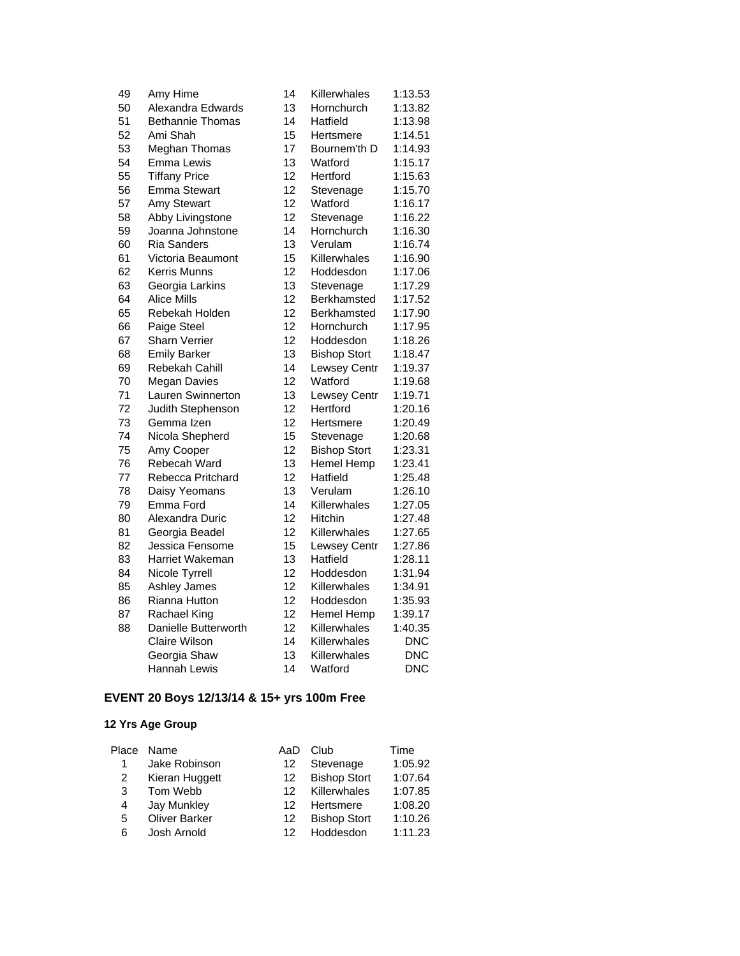| 49 | Amy Hime                | 14 | Killerwhales        | 1:13.53    |
|----|-------------------------|----|---------------------|------------|
| 50 | Alexandra Edwards       | 13 | Hornchurch          | 1:13.82    |
| 51 | <b>Bethannie Thomas</b> | 14 | Hatfield            | 1:13.98    |
| 52 | Ami Shah                | 15 | Hertsmere           | 1:14.51    |
| 53 | Meghan Thomas           | 17 | Bournem'th D        | 1:14.93    |
| 54 | <b>Emma Lewis</b>       | 13 | Watford             | 1:15.17    |
| 55 | <b>Tiffany Price</b>    | 12 | Hertford            | 1:15.63    |
| 56 | <b>Emma Stewart</b>     | 12 | Stevenage           | 1:15.70    |
| 57 | Amy Stewart             | 12 | Watford             | 1:16.17    |
| 58 | Abby Livingstone        | 12 | Stevenage           | 1:16.22    |
| 59 | Joanna Johnstone        | 14 | Hornchurch          | 1:16.30    |
| 60 | <b>Ria Sanders</b>      | 13 | Verulam             | 1:16.74    |
| 61 | Victoria Beaumont       | 15 | Killerwhales        | 1:16.90    |
| 62 | Kerris Munns            | 12 | Hoddesdon           | 1:17.06    |
| 63 | Georgia Larkins         | 13 | Stevenage           | 1:17.29    |
| 64 | Alice Mills             | 12 | Berkhamsted         | 1:17.52    |
| 65 | Rebekah Holden          | 12 | Berkhamsted         | 1:17.90    |
| 66 | Paige Steel             | 12 | Hornchurch          | 1:17.95    |
| 67 | <b>Sharn Verrier</b>    | 12 | Hoddesdon           | 1:18.26    |
| 68 | <b>Emily Barker</b>     | 13 | <b>Bishop Stort</b> | 1:18.47    |
| 69 | Rebekah Cahill          | 14 | Lewsey Centr        | 1:19.37    |
| 70 | <b>Megan Davies</b>     | 12 | Watford             | 1:19.68    |
| 71 | Lauren Swinnerton       | 13 | Lewsey Centr        | 1:19.71    |
| 72 | Judith Stephenson       | 12 | Hertford            | 1:20.16    |
| 73 | Gemma Izen              | 12 | Hertsmere           | 1:20.49    |
| 74 | Nicola Shepherd         | 15 | Stevenage           | 1:20.68    |
| 75 | Amy Cooper              | 12 | <b>Bishop Stort</b> | 1:23.31    |
| 76 | Rebecah Ward            | 13 | Hemel Hemp          | 1:23.41    |
| 77 | Rebecca Pritchard       | 12 | Hatfield            | 1:25.48    |
| 78 | Daisy Yeomans           | 13 | Verulam             | 1:26.10    |
| 79 | Emma Ford               | 14 | Killerwhales        | 1:27.05    |
| 80 | Alexandra Duric         | 12 | Hitchin             | 1:27.48    |
| 81 | Georgia Beadel          | 12 | Killerwhales        | 1:27.65    |
| 82 | Jessica Fensome         | 15 | <b>Lewsey Centr</b> | 1:27.86    |
| 83 | Harriet Wakeman         | 13 | Hatfield            | 1:28.11    |
| 84 | Nicole Tyrrell          | 12 | Hoddesdon           | 1:31.94    |
| 85 | Ashley James            | 12 | Killerwhales        | 1:34.91    |
| 86 | Rianna Hutton           | 12 | Hoddesdon           | 1:35.93    |
| 87 | Rachael King            | 12 | Hemel Hemp          | 1:39.17    |
| 88 | Danielle Butterworth    | 12 | Killerwhales        | 1:40.35    |
|    | <b>Claire Wilson</b>    | 14 | Killerwhales        | <b>DNC</b> |
|    | Georgia Shaw            | 13 | Killerwhales        | <b>DNC</b> |
|    | Hannah Lewis            | 14 | Watford             | <b>DNC</b> |

# **EVENT 20 Boys 12/13/14 & 15+ yrs 100m Free**

| Place Name           | AaD | Club                | Time    |
|----------------------|-----|---------------------|---------|
| Jake Robinson        | 12  | Stevenage           | 1:05.92 |
| Kieran Huggett       | 12  | <b>Bishop Stort</b> | 1:07.64 |
| Tom Webb             | 12  | Killerwhales        | 1:07.85 |
| Jay Munkley          | 12  | Hertsmere           | 1:08.20 |
| <b>Oliver Barker</b> | 12  | <b>Bishop Stort</b> | 1:10.26 |
| Josh Arnold          | 12  | Hoddesdon           | 1:11.23 |
|                      |     |                     |         |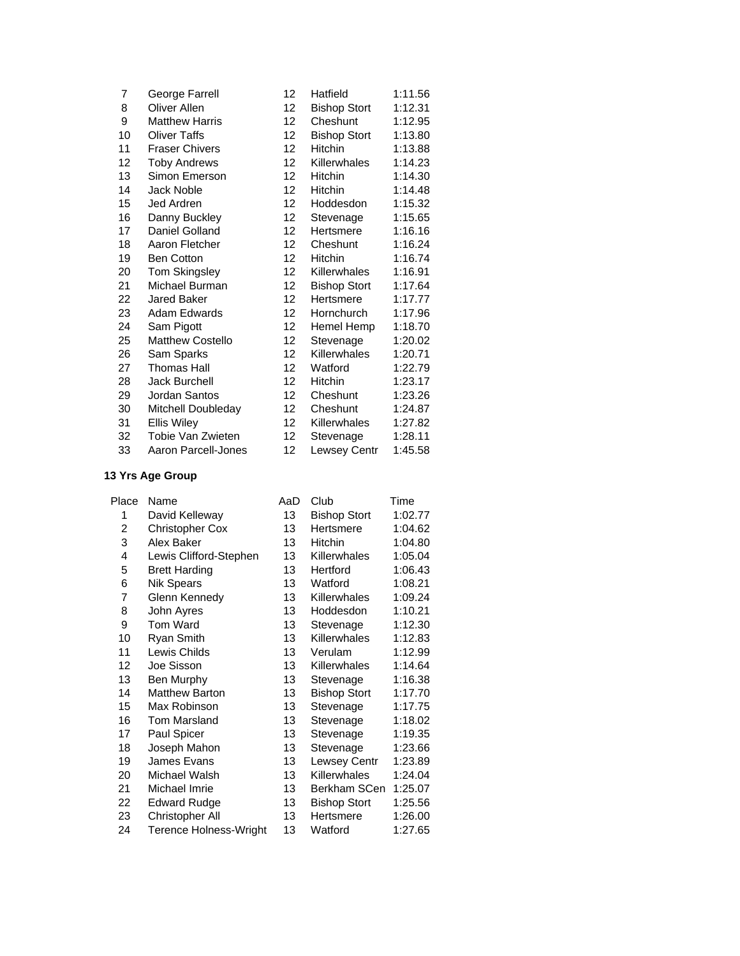| 7  | George Farrell        | 12                | Hatfield            | 1:11.56 |
|----|-----------------------|-------------------|---------------------|---------|
| 8  | Oliver Allen          | 12                | <b>Bishop Stort</b> | 1:12.31 |
| 9  | <b>Matthew Harris</b> | $12 \overline{ }$ | Cheshunt            | 1:12.95 |
| 10 | <b>Oliver Taffs</b>   | 12                | <b>Bishop Stort</b> | 1:13.80 |
| 11 | <b>Fraser Chivers</b> | 12                | Hitchin             | 1:13.88 |
| 12 | <b>Toby Andrews</b>   | $12 \overline{ }$ | Killerwhales        | 1:14.23 |
| 13 | Simon Emerson         | 12                | Hitchin             | 1:14.30 |
| 14 | Jack Noble            | 12                | <b>Hitchin</b>      | 1:14.48 |
| 15 | Jed Ardren            | 12                | Hoddesdon           | 1:15.32 |
| 16 | Danny Buckley         | 12                | Stevenage           | 1:15.65 |
| 17 | Daniel Golland        | $12 \overline{ }$ | Hertsmere           | 1:16.16 |
| 18 | Aaron Fletcher        | 12                | Cheshunt            | 1:16.24 |
| 19 | Ben Cotton            | 12                | <b>Hitchin</b>      | 1:16.74 |
| 20 | <b>Tom Skingsley</b>  | 12                | <b>Killerwhales</b> | 1:16.91 |
| 21 | Michael Burman        | 12                | <b>Bishop Stort</b> | 1:17.64 |
| 22 | <b>Jared Baker</b>    | 12                | Hertsmere           | 1:17.77 |
| 23 | Adam Edwards          | 12                | Hornchurch          | 1:17.96 |
| 24 | Sam Pigott            | 12                | Hemel Hemp          | 1:18.70 |
| 25 | Matthew Costello      | 12                | Stevenage           | 1:20.02 |
| 26 | Sam Sparks            | $12 \overline{ }$ | Killerwhales        | 1:20.71 |
| 27 | <b>Thomas Hall</b>    | $12 \overline{ }$ | Watford             | 1:22.79 |
| 28 | Jack Burchell         | 12                | <b>Hitchin</b>      | 1:23.17 |
| 29 | Jordan Santos         | 12                | Cheshunt            | 1:23.26 |
| 30 | Mitchell Doubleday    | $12 \overline{ }$ | Cheshunt            | 1:24.87 |
| 31 | <b>Ellis Wiley</b>    | $12 \overline{ }$ | <b>Killerwhales</b> | 1:27.82 |
| 32 | Tobie Van Zwieten     | 12                | Stevenage           | 1:28.11 |
| 33 | Aaron Parcell-Jones   | 12                | Lewsey Centr        | 1:45.58 |

| Place | Name                   | AaD | Club                | Time    |
|-------|------------------------|-----|---------------------|---------|
| 1     | David Kelleway         | 13  | <b>Bishop Stort</b> | 1:02.77 |
| 2     | <b>Christopher Cox</b> | 13  | Hertsmere           | 1:04.62 |
| 3     | Alex Baker             | 13  | Hitchin             | 1:04.80 |
| 4     | Lewis Clifford-Stephen | 13  | Killerwhales        | 1:05.04 |
| 5     | <b>Brett Harding</b>   | 13  | Hertford            | 1:06.43 |
| 6     | <b>Nik Spears</b>      | 13  | Watford             | 1:08.21 |
| 7     | Glenn Kennedy          | 13  | Killerwhales        | 1:09.24 |
| 8     | John Ayres             | 13  | Hoddesdon           | 1:10.21 |
| 9     | Tom Ward               | 13  | Stevenage           | 1:12.30 |
| 10    | Ryan Smith             | 13  | Killerwhales        | 1:12.83 |
| 11    | Lewis Childs           | 13  | Verulam             | 1:12.99 |
| 12    | Joe Sisson             | 13  | Killerwhales        | 1:14.64 |
| 13    | Ben Murphy             | 13  | Stevenage           | 1:16.38 |
| 14    | <b>Matthew Barton</b>  | 13  | <b>Bishop Stort</b> | 1:17.70 |
| 15    | Max Robinson           | 13  | Stevenage           | 1:17.75 |
| 16    | <b>Tom Marsland</b>    | 13  | Stevenage           | 1:18.02 |
| 17    | Paul Spicer            | 13  | Stevenage           | 1:19.35 |
| 18    | Joseph Mahon           | 13  | Stevenage           | 1:23.66 |
| 19    | James Evans            | 13  | Lewsey Centr        | 1:23.89 |
| 20    | Michael Walsh          | 13  | Killerwhales        | 1:24.04 |
| 21    | Michael Imrie          | 13  | Berkham SCen        | 1:25.07 |
| 22    | <b>Edward Rudge</b>    | 13  | <b>Bishop Stort</b> | 1:25.56 |
| 23    | Christopher All        | 13  | Hertsmere           | 1:26.00 |
| 24    | Terence Holness-Wright | 13  | Watford             | 1:27.65 |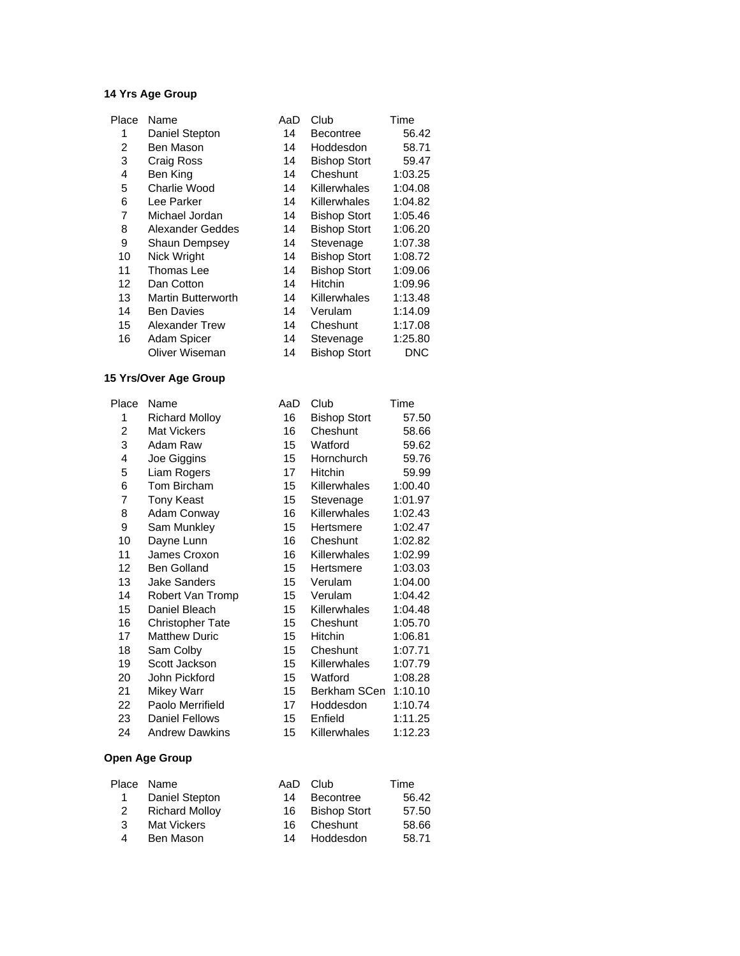| Place | Name                      | AaD | Club                | Time    |
|-------|---------------------------|-----|---------------------|---------|
| 1     | Daniel Stepton            | 14  | <b>Becontree</b>    | 56.42   |
| 2     | Ben Mason                 | 14  | Hoddesdon           | 58.71   |
| 3     | Craig Ross                | 14  | <b>Bishop Stort</b> | 59.47   |
| 4     | Ben King                  | 14  | Cheshunt            | 1:03.25 |
| 5     | Charlie Wood              | 14  | Killerwhales        | 1:04.08 |
| 6     | Lee Parker                | 14  | Killerwhales        | 1:04.82 |
| 7     | Michael Jordan            | 14  | <b>Bishop Stort</b> | 1:05.46 |
| 8     | <b>Alexander Geddes</b>   | 14  | <b>Bishop Stort</b> | 1:06.20 |
| 9     | <b>Shaun Dempsey</b>      | 14  | Stevenage           | 1:07.38 |
| 10    | Nick Wright               | 14  | <b>Bishop Stort</b> | 1:08.72 |
| 11    | Thomas Lee                | 14  | <b>Bishop Stort</b> | 1:09.06 |
| 12    | Dan Cotton                | 14  | Hitchin             | 1:09.96 |
| 13    | <b>Martin Butterworth</b> | 14  | Killerwhales        | 1:13.48 |
| 14    | <b>Ben Davies</b>         | 14  | Verulam             | 1:14.09 |
| 15    | Alexander Trew            | 14  | Cheshunt            | 1:17.08 |
| 16    | Adam Spicer               | 14  | Stevenage           | 1:25.80 |
|       | Oliver Wiseman            | 14  | <b>Bishop Stort</b> | DNC     |
|       |                           |     |                     |         |

#### **15 Yrs/Over Age Group**

| Place | Name                    | AaD | Club                | Time    |
|-------|-------------------------|-----|---------------------|---------|
| 1     | <b>Richard Molloy</b>   | 16  | <b>Bishop Stort</b> | 57.50   |
| 2     | <b>Mat Vickers</b>      | 16  | Cheshunt            | 58.66   |
| 3     | Adam Raw                | 15  | Watford             | 59.62   |
| 4     | Joe Giggins             | 15  | Hornchurch          | 59.76   |
| 5     | Liam Rogers             | 17  | Hitchin             | 59.99   |
| 6     | Tom Bircham             | 15  | Killerwhales        | 1:00.40 |
| 7     | <b>Tony Keast</b>       | 15  | Stevenage           | 1:01.97 |
| 8     | Adam Conway             | 16  | Killerwhales        | 1:02.43 |
| 9     | Sam Munkley             | 15  | Hertsmere           | 1:02.47 |
| 10    | Dayne Lunn              | 16  | Cheshunt            | 1:02.82 |
| 11    | James Croxon            | 16  | Killerwhales        | 1:02.99 |
| 12    | <b>Ben Golland</b>      | 15  | Hertsmere           | 1:03.03 |
| 13    | <b>Jake Sanders</b>     | 15  | Verulam             | 1:04.00 |
| 14    | Robert Van Tromp        | 15  | Verulam             | 1:04.42 |
| 15    | Daniel Bleach           | 15  | Killerwhales        | 1:04.48 |
| 16    | <b>Christopher Tate</b> | 15  | Cheshunt            | 1:05.70 |
| 17    | <b>Matthew Duric</b>    | 15  | Hitchin             | 1:06.81 |
| 18    | Sam Colby               | 15  | Cheshunt            | 1:07.71 |
| 19    | Scott Jackson           | 15  | Killerwhales        | 1:07.79 |
| 20    | John Pickford           | 15  | Watford             | 1:08.28 |
| 21    | <b>Mikey Warr</b>       | 15  | Berkham SCen        | 1:10.10 |
| 22    | Paolo Merrifield        | 17  | Hoddesdon           | 1:10.74 |
| 23    | <b>Daniel Fellows</b>   | 15  | Enfield             | 1:11.25 |
| 24    | <b>Andrew Dawkins</b>   | 15  | Killerwhales        | 1:12.23 |

| Place Name            |    |                  | Time                                                       |
|-----------------------|----|------------------|------------------------------------------------------------|
| Daniel Stepton        | 14 | <b>Becontree</b> | 56.42                                                      |
| <b>Richard Molloy</b> |    |                  | 57.50                                                      |
| <b>Mat Vickers</b>    |    |                  | 58.66                                                      |
| Ben Mason             |    |                  | 58.71                                                      |
|                       |    |                  | AaD Club<br>16 Bishop Stort<br>16 Cheshunt<br>14 Hoddesdon |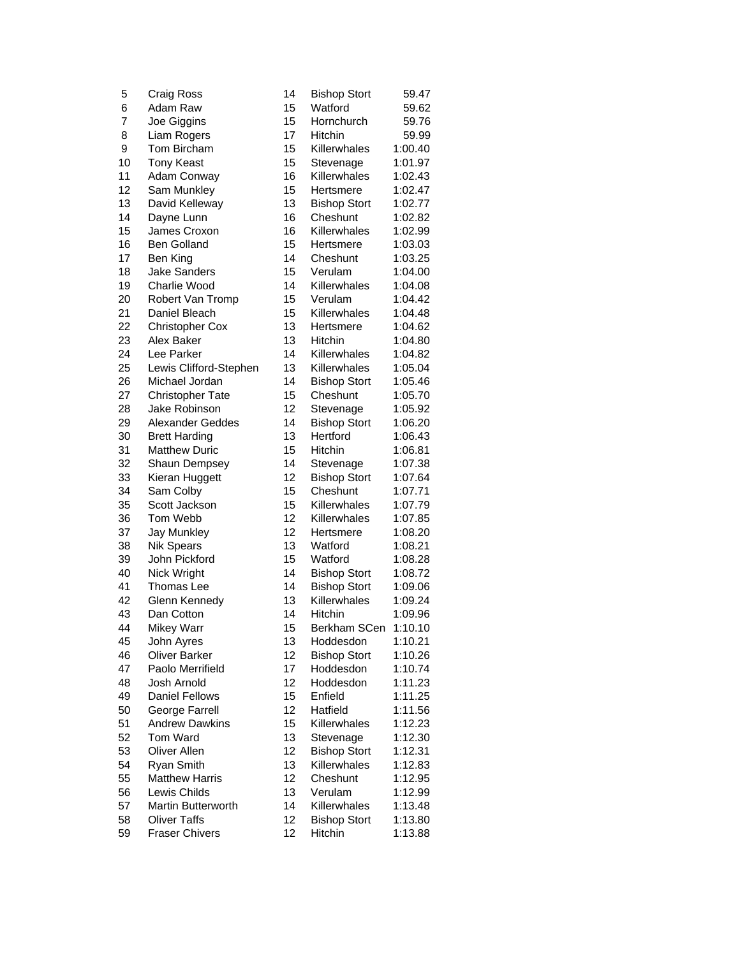| 5  | Craig Ross              | 14 | <b>Bishop Stort</b> | 59.47   |
|----|-------------------------|----|---------------------|---------|
| 6  | Adam Raw                | 15 | Watford             | 59.62   |
| 7  | Joe Giggins             | 15 | Hornchurch          | 59.76   |
| 8  | Liam Rogers             | 17 | Hitchin             | 59.99   |
| 9  | Tom Bircham             | 15 | Killerwhales        | 1:00.40 |
| 10 | <b>Tony Keast</b>       | 15 | Stevenage           | 1:01.97 |
| 11 | Adam Conway             | 16 | Killerwhales        | 1:02.43 |
| 12 | Sam Munkley             | 15 | Hertsmere           | 1:02.47 |
| 13 | David Kelleway          | 13 | <b>Bishop Stort</b> | 1:02.77 |
| 14 | Dayne Lunn              | 16 | Cheshunt            | 1:02.82 |
| 15 | James Croxon            | 16 | Killerwhales        | 1:02.99 |
| 16 | <b>Ben Golland</b>      | 15 | Hertsmere           | 1:03.03 |
| 17 | Ben King                | 14 | Cheshunt            | 1:03.25 |
| 18 | <b>Jake Sanders</b>     | 15 | Verulam             | 1:04.00 |
| 19 | Charlie Wood            | 14 | Killerwhales        | 1:04.08 |
| 20 | Robert Van Tromp        | 15 | Verulam             | 1:04.42 |
| 21 | Daniel Bleach           | 15 | Killerwhales        | 1:04.48 |
| 22 | <b>Christopher Cox</b>  | 13 | Hertsmere           | 1:04.62 |
| 23 | Alex Baker              | 13 | Hitchin             | 1:04.80 |
| 24 | Lee Parker              | 14 | Killerwhales        | 1:04.82 |
| 25 | Lewis Clifford-Stephen  | 13 | Killerwhales        | 1:05.04 |
| 26 | Michael Jordan          | 14 | <b>Bishop Stort</b> | 1:05.46 |
| 27 | <b>Christopher Tate</b> | 15 | Cheshunt            | 1:05.70 |
| 28 | Jake Robinson           | 12 | Stevenage           | 1:05.92 |
| 29 | <b>Alexander Geddes</b> | 14 | <b>Bishop Stort</b> | 1:06.20 |
| 30 | <b>Brett Harding</b>    | 13 | Hertford            | 1:06.43 |
| 31 | <b>Matthew Duric</b>    | 15 | Hitchin             | 1:06.81 |
| 32 | Shaun Dempsey           | 14 | Stevenage           | 1:07.38 |
| 33 | Kieran Huggett          | 12 | <b>Bishop Stort</b> | 1:07.64 |
| 34 | Sam Colby               | 15 | Cheshunt            | 1:07.71 |
| 35 | Scott Jackson           | 15 | Killerwhales        | 1:07.79 |
| 36 | Tom Webb                | 12 | Killerwhales        | 1:07.85 |
| 37 | <b>Jay Munkley</b>      | 12 | Hertsmere           | 1:08.20 |
| 38 | <b>Nik Spears</b>       | 13 | Watford             | 1:08.21 |
| 39 | John Pickford           | 15 | Watford             | 1:08.28 |
| 40 | Nick Wright             | 14 | <b>Bishop Stort</b> | 1:08.72 |
| 41 | Thomas Lee              | 14 | <b>Bishop Stort</b> | 1:09.06 |
| 42 | Glenn Kennedy           | 13 | Killerwhales        | 1:09.24 |
| 43 | Dan Cotton              | 14 | Hitchin             | 1:09.96 |
| 44 | Mikey Warr              | 15 | Berkham SCen        | 1:10.10 |
| 45 | John Ayres              | 13 | Hoddesdon           | 1:10.21 |
| 46 | <b>Oliver Barker</b>    | 12 | <b>Bishop Stort</b> | 1:10.26 |
| 47 | Paolo Merrifield        | 17 | Hoddesdon           | 1:10.74 |
| 48 | Josh Arnold             | 12 | Hoddesdon           | 1:11.23 |
| 49 | <b>Daniel Fellows</b>   | 15 | Enfield             | 1:11.25 |
| 50 | George Farrell          | 12 | Hatfield            | 1:11.56 |
| 51 | <b>Andrew Dawkins</b>   | 15 | Killerwhales        | 1:12.23 |
| 52 | Tom Ward                | 13 | Stevenage           | 1:12.30 |
| 53 | <b>Oliver Allen</b>     | 12 | <b>Bishop Stort</b> | 1:12.31 |
| 54 | Ryan Smith              | 13 | Killerwhales        | 1:12.83 |
| 55 | <b>Matthew Harris</b>   | 12 | Cheshunt            | 1:12.95 |
| 56 | Lewis Childs            | 13 | Verulam             | 1:12.99 |
| 57 | Martin Butterworth      | 14 | Killerwhales        | 1:13.48 |
| 58 | <b>Oliver Taffs</b>     | 12 | <b>Bishop Stort</b> | 1:13.80 |
| 59 | <b>Fraser Chivers</b>   | 12 | Hitchin             | 1:13.88 |
|    |                         |    |                     |         |